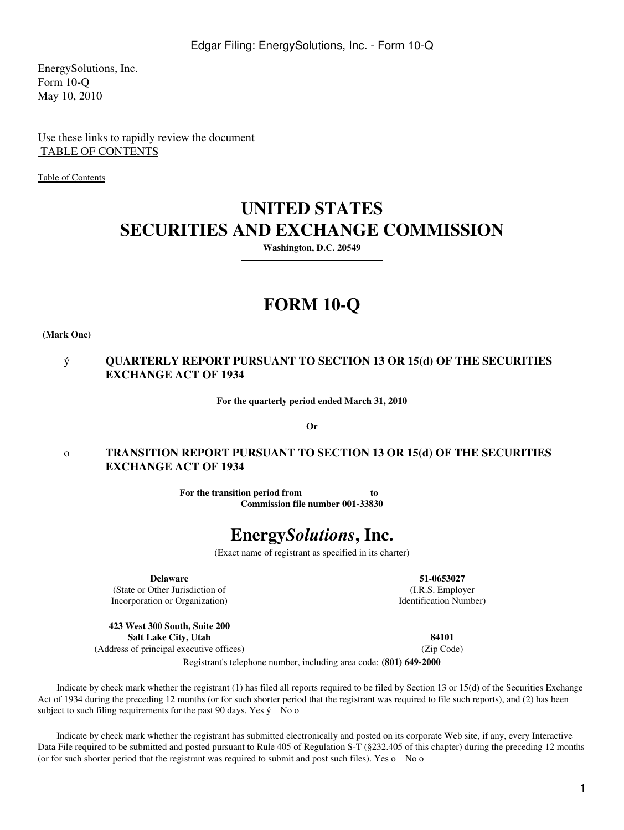EnergySolutions, Inc. Form 10-Q May 10, 2010

Use these links to rapidly review the document  [TABLE OF CONTENTS](#page-2-0)

[Table of Contents](#page-2-1)

# **UNITED STATES SECURITIES AND EXCHANGE COMMISSION**

**Washington, D.C. 20549**

# **FORM 10-Q**

**(Mark One)**

# ý **QUARTERLY REPORT PURSUANT TO SECTION 13 OR 15(d) OF THE SECURITIES EXCHANGE ACT OF 1934**

**For the quarterly period ended March 31, 2010**

**Or**

# o **TRANSITION REPORT PURSUANT TO SECTION 13 OR 15(d) OF THE SECURITIES EXCHANGE ACT OF 1934**

**For the transition period from to Commission file number 001-33830**

# **Energy***Solutions***, Inc.**

(Exact name of registrant as specified in its charter)

**Delaware**

(State or Other Jurisdiction of Incorporation or Organization)

**423 West 300 South, Suite 200 Salt Lake City, Utah** (Address of principal executive offices)

**51-0653027** (I.R.S. Employer Identification Number)

> **84101** (Zip Code)

Registrant's telephone number, including area code: **(801) 649-2000**

 Indicate by check mark whether the registrant (1) has filed all reports required to be filed by Section 13 or 15(d) of the Securities Exchange Act of 1934 during the preceding 12 months (or for such shorter period that the registrant was required to file such reports), and (2) has been subject to such filing requirements for the past 90 days. Yes  $\dot{y}$  No o

 Indicate by check mark whether the registrant has submitted electronically and posted on its corporate Web site, if any, every Interactive Data File required to be submitted and posted pursuant to Rule 405 of Regulation S-T (§232.405 of this chapter) during the preceding 12 months (or for such shorter period that the registrant was required to submit and post such files). Yes o No o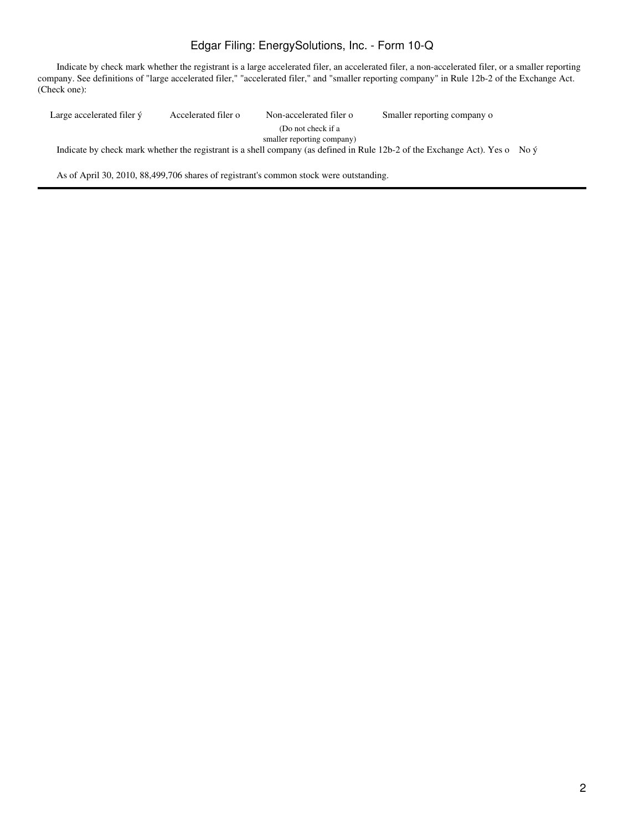# Edgar Filing: EnergySolutions, Inc. - Form 10-Q

 Indicate by check mark whether the registrant is a large accelerated filer, an accelerated filer, a non-accelerated filer, or a smaller reporting company. See definitions of "large accelerated filer," "accelerated filer," and "smaller reporting company" in Rule 12b-2 of the Exchange Act. (Check one):

Large accelerated filer ý Accelerated filer o Non-accelerated filer o (Do not check if a smaller reporting company) Smaller reporting company o Indicate by check mark whether the registrant is a shell company (as defined in Rule 12b-2 of the Exchange Act). Yes o No ý As of April 30, 2010, 88,499,706 shares of registrant's common stock were outstanding.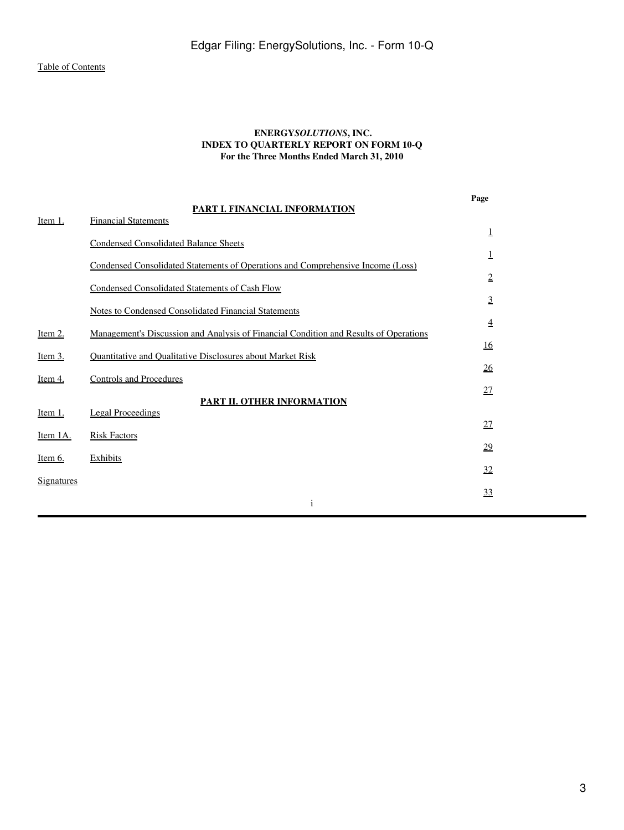## **ENERGY***SOLUTIONS***, INC. INDEX TO QUARTERLY REPORT ON FORM 10-Q For the Three Months Ended March 31, 2010**

**Page**

<span id="page-2-1"></span><span id="page-2-0"></span>

| Item 1.           | PART I. FINANCIAL INFORMATION<br><b>Financial Statements</b>                          |                 |
|-------------------|---------------------------------------------------------------------------------------|-----------------|
|                   |                                                                                       | 1               |
|                   | <b>Condensed Consolidated Balance Sheets</b>                                          | 1               |
|                   | Condensed Consolidated Statements of Operations and Comprehensive Income (Loss)       | $\overline{2}$  |
|                   | Condensed Consolidated Statements of Cash Flow                                        | $\overline{3}$  |
|                   | <b>Notes to Condensed Consolidated Financial Statements</b>                           |                 |
| <u>Item 2.</u>    | Management's Discussion and Analysis of Financial Condition and Results of Operations | $\overline{4}$  |
| Item $3.$         | Quantitative and Qualitative Disclosures about Market Risk                            | 16              |
| Item 4.           | <b>Controls and Procedures</b>                                                        | $\overline{26}$ |
| Item 1.           | PART II. OTHER INFORMATION<br><b>Legal Proceedings</b>                                | <u>27</u>       |
|                   |                                                                                       | 27              |
| Item 1A.          | <b>Risk Factors</b>                                                                   | 29              |
| <u>Item 6.</u>    | <b>Exhibits</b>                                                                       | 32              |
| <b>Signatures</b> |                                                                                       | 33              |
|                   | $\mathbf{1}$                                                                          |                 |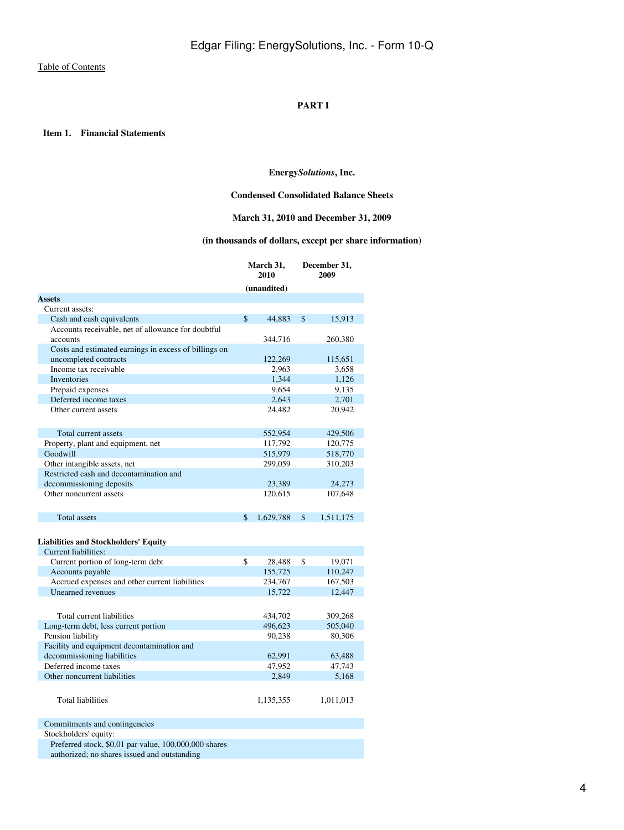## **PART I**

<span id="page-3-2"></span><span id="page-3-1"></span><span id="page-3-0"></span> **Item 1. Financial Statements**

## **Energy***Solutions***, Inc.**

## **Condensed Consolidated Balance Sheets**

## **March 31, 2010 and December 31, 2009**

## **(in thousands of dollars, except per share information)**

|                                                       | March 31,<br>2010 |             | December 31,<br>2009 |
|-------------------------------------------------------|-------------------|-------------|----------------------|
|                                                       |                   | (unaudited) |                      |
| <b>Assets</b>                                         |                   |             |                      |
| Current assets:                                       |                   |             |                      |
| Cash and cash equivalents                             | $\mathsf{\$}$     | 44,883      | \$<br>15,913         |
| Accounts receivable, net of allowance for doubtful    |                   |             |                      |
| accounts                                              |                   | 344,716     | 260,380              |
| Costs and estimated earnings in excess of billings on |                   |             |                      |
| uncompleted contracts                                 |                   | 122,269     | 115,651              |
| Income tax receivable                                 |                   | 2,963       | 3,658                |
| <b>Inventories</b>                                    |                   | 1.344       | 1,126                |
| Prepaid expenses                                      |                   | 9,654       | 9,135                |
| Deferred income taxes                                 |                   | 2,643       | 2,701                |
| Other current assets                                  |                   | 24,482      | 20.942               |
| Total current assets                                  |                   | 552,954     | 429,506              |
| Property, plant and equipment, net                    |                   | 117,792     | 120,775              |
| Goodwill                                              |                   | 515,979     | 518,770              |
| Other intangible assets, net                          |                   | 299,059     | 310,203              |
| Restricted cash and decontamination and               |                   |             |                      |
| decommissioning deposits                              |                   | 23,389      | 24,273               |
| Other noncurrent assets                               |                   | 120,615     | 107,648              |
| <b>Total assets</b>                                   | \$                | 1,629,788   | \$<br>1,511,175      |
| <b>Liabilities and Stockholders' Equity</b>           |                   |             |                      |
| Current liabilities:                                  |                   |             |                      |
| Current portion of long-term debt                     | \$                | 28,488      | \$<br>19,071         |
| Accounts payable                                      |                   | 155,725     | 110,247              |
| Accrued expenses and other current liabilities        |                   | 234,767     | 167,503              |
| Unearned revenues                                     |                   | 15,722      | 12,447               |

|                                            | 10.11     | .         |
|--------------------------------------------|-----------|-----------|
|                                            |           |           |
| Total current liabilities                  | 434,702   | 309.268   |
| Long-term debt, less current portion       | 496,623   | 505,040   |
| Pension liability                          | 90.238    | 80,306    |
| Facility and equipment decontamination and |           |           |
| decommissioning liabilities                | 62,991    | 63,488    |
| Deferred income taxes                      | 47.952    | 47.743    |
| Other noncurrent liabilities               | 2.849     | 5,168     |
| <b>Total liabilities</b>                   | 1,135,355 | 1,011,013 |
|                                            |           |           |

Commitments and contingencies

Stockholders' equity:

Preferred stock, \$0.01 par value, 100,000,000 shares

authorized; no shares issued and outstanding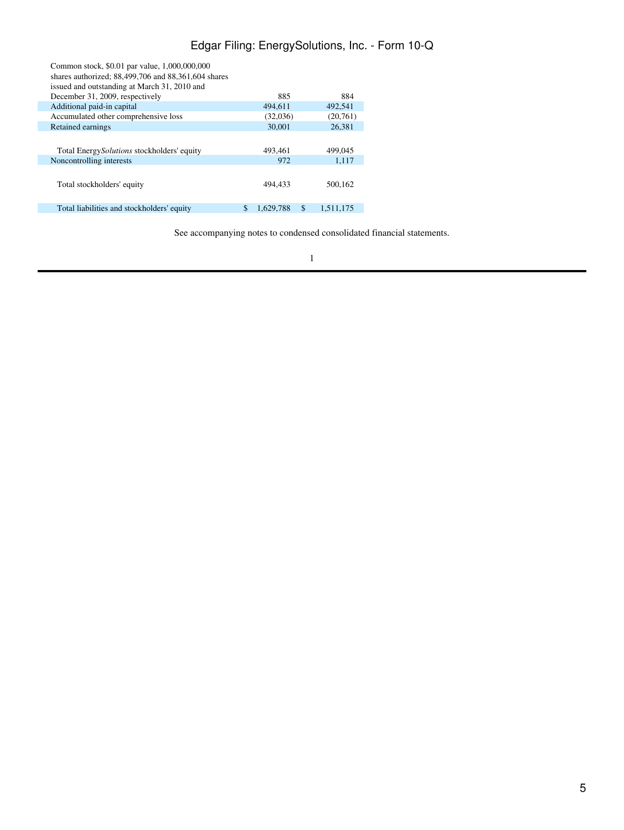# Edgar Filing: EnergySolutions, Inc. - Form 10-Q

| Common stock, \$0.01 par value, 1,000,000,000<br>shares authorized; 88,499,706 and 88,361,604 shares<br>issued and outstanding at March 31, 2010 and |   |           |                 |
|------------------------------------------------------------------------------------------------------------------------------------------------------|---|-----------|-----------------|
| December 31, 2009, respectively                                                                                                                      |   | 885       | 884             |
| Additional paid-in capital                                                                                                                           |   | 494.611   | 492,541         |
| Accumulated other comprehensive loss                                                                                                                 |   | (32,036)  | (20,761)        |
| Retained earnings                                                                                                                                    |   | 30,001    | 26.381          |
| Total Energy <i>Solutions</i> stockholders' equity                                                                                                   |   | 493,461   | 499,045         |
| Noncontrolling interests                                                                                                                             |   | 972       | 1,117           |
| Total stockholders' equity                                                                                                                           |   | 494.433   | 500,162         |
| Total liabilities and stockholders' equity                                                                                                           | S | 1.629.788 | \$<br>1.511.175 |

See accompanying notes to condensed consolidated financial statements.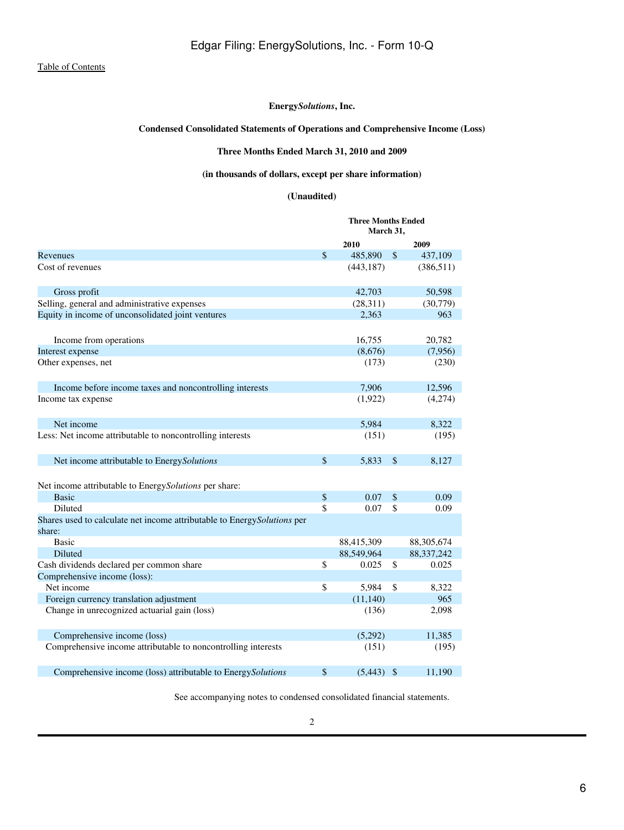## **Condensed Consolidated Statements of Operations and Comprehensive Income (Loss)**

## **Three Months Ended March 31, 2010 and 2009**

# **(in thousands of dollars, except per share information)**

## **(Unaudited)**

<span id="page-5-0"></span>

|                                                                                    | <b>Three Months Ended</b><br>March 31, |               |              |  |
|------------------------------------------------------------------------------------|----------------------------------------|---------------|--------------|--|
|                                                                                    | 2010                                   |               | 2009         |  |
| Revenues                                                                           | \$<br>485,890                          | $\mathcal{S}$ | 437,109      |  |
| Cost of revenues                                                                   | (443, 187)                             |               | (386, 511)   |  |
| Gross profit                                                                       | 42,703                                 |               | 50,598       |  |
| Selling, general and administrative expenses                                       | (28,311)                               |               | (30,779)     |  |
| Equity in income of unconsolidated joint ventures                                  | 2,363                                  |               | 963          |  |
| Income from operations                                                             | 16,755                                 |               | 20,782       |  |
| Interest expense                                                                   | (8,676)                                |               | (7,956)      |  |
| Other expenses, net                                                                | (173)                                  |               | (230)        |  |
| Income before income taxes and noncontrolling interests                            | 7,906                                  |               | 12,596       |  |
| Income tax expense                                                                 | (1,922)                                |               | (4,274)      |  |
| Net income                                                                         | 5,984                                  |               | 8,322        |  |
| Less: Net income attributable to noncontrolling interests                          | (151)                                  |               | (195)        |  |
| Net income attributable to EnergySolutions                                         | \$<br>5,833                            | \$            | 8,127        |  |
| Net income attributable to EnergySolutions per share:                              |                                        |               |              |  |
| <b>Basic</b>                                                                       | \$<br>0.07                             | \$            | 0.09         |  |
| Diluted                                                                            | \$<br>0.07                             | \$            | 0.09         |  |
| Shares used to calculate net income attributable to Energy Solutions per<br>share: |                                        |               |              |  |
| <b>Basic</b>                                                                       | 88,415,309                             |               | 88,305,674   |  |
| Diluted                                                                            | 88,549,964                             |               | 88, 337, 242 |  |
| Cash dividends declared per common share                                           | \$<br>0.025                            | \$            | 0.025        |  |
| Comprehensive income (loss):                                                       |                                        |               |              |  |
| Net income                                                                         | \$<br>5,984                            | \$            | 8,322        |  |
| Foreign currency translation adjustment                                            | (11, 140)                              |               | 965          |  |
| Change in unrecognized actuarial gain (loss)                                       | (136)                                  |               | 2,098        |  |
| Comprehensive income (loss)                                                        | (5,292)                                |               | 11,385       |  |
| Comprehensive income attributable to noncontrolling interests                      | (151)                                  |               | (195)        |  |
| Comprehensive income (loss) attributable to EnergySolutions                        | \$<br>(5, 443)                         | $\mathcal{S}$ | 11,190       |  |

See accompanying notes to condensed consolidated financial statements.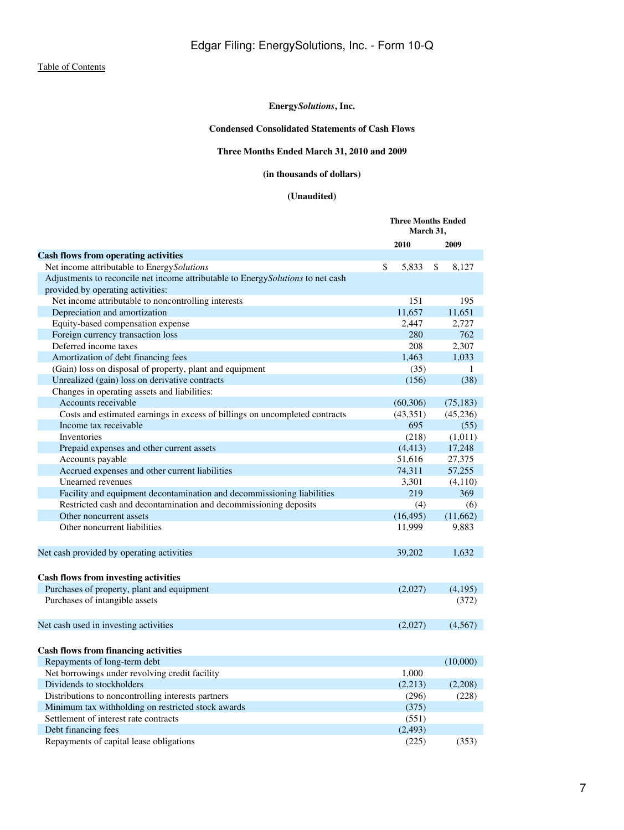# **Condensed Consolidated Statements of Cash Flows**

# **Three Months Ended March 31, 2010 and 2009**

# **(in thousands of dollars)**

# **(Unaudited)**

<span id="page-6-0"></span>

|                                                                                 | <b>Three Months Ended</b><br>March 31, |             |  |
|---------------------------------------------------------------------------------|----------------------------------------|-------------|--|
|                                                                                 | 2010                                   | 2009        |  |
| <b>Cash flows from operating activities</b>                                     |                                        |             |  |
| Net income attributable to EnergySolutions                                      | \$<br>5,833                            | \$<br>8,127 |  |
| Adjustments to reconcile net income attributable to EnergySolutions to net cash |                                        |             |  |
| provided by operating activities:                                               |                                        |             |  |
| Net income attributable to noncontrolling interests                             | 151                                    | 195         |  |
| Depreciation and amortization                                                   | 11,657                                 | 11,651      |  |
| Equity-based compensation expense                                               | 2,447                                  | 2,727       |  |
| Foreign currency transaction loss                                               | 280                                    | 762         |  |
| Deferred income taxes                                                           | 208                                    | 2,307       |  |
| Amortization of debt financing fees                                             | 1,463                                  | 1,033       |  |
| (Gain) loss on disposal of property, plant and equipment                        | (35)                                   | 1           |  |
| Unrealized (gain) loss on derivative contracts                                  | (156)                                  | (38)        |  |
| Changes in operating assets and liabilities:                                    |                                        |             |  |
| Accounts receivable                                                             | (60, 306)                              | (75, 183)   |  |
| Costs and estimated earnings in excess of billings on uncompleted contracts     | (43,351)                               | (45,236)    |  |
| Income tax receivable                                                           | 695                                    | (55)        |  |
| Inventories                                                                     | (218)                                  | (1,011)     |  |
| Prepaid expenses and other current assets                                       | (4, 413)                               | 17,248      |  |
| Accounts payable                                                                | 51,616                                 | 27,375      |  |
| Accrued expenses and other current liabilities                                  | 74,311                                 | 57,255      |  |
| Unearned revenues                                                               | 3,301                                  | (4,110)     |  |
| Facility and equipment decontamination and decommissioning liabilities          | 219                                    | 369         |  |
| Restricted cash and decontamination and decommissioning deposits                | (4)                                    | (6)         |  |
| Other noncurrent assets                                                         | (16, 495)                              | (11,662)    |  |
| Other noncurrent liabilities                                                    | 11,999                                 | 9,883       |  |
| Net cash provided by operating activities                                       | 39,202                                 | 1,632       |  |
|                                                                                 |                                        |             |  |
| <b>Cash flows from investing activities</b>                                     |                                        |             |  |
| Purchases of property, plant and equipment                                      | (2,027)                                | (4,195)     |  |
| Purchases of intangible assets                                                  |                                        | (372)       |  |
| Net cash used in investing activities                                           | (2,027)                                | (4, 567)    |  |
|                                                                                 |                                        |             |  |
| <b>Cash flows from financing activities</b>                                     |                                        |             |  |
| Repayments of long-term debt                                                    |                                        | (10,000)    |  |
| Net borrowings under revolving credit facility                                  | 1,000                                  |             |  |
| Dividends to stockholders                                                       | (2,213)                                | (2,208)     |  |
| Distributions to noncontrolling interests partners                              | (296)                                  | (228)       |  |
| Minimum tax withholding on restricted stock awards                              | (375)                                  |             |  |
| Settlement of interest rate contracts                                           | (551)                                  |             |  |
| Debt financing fees                                                             | (2, 493)                               |             |  |
| Repayments of capital lease obligations                                         | (225)                                  | (353)       |  |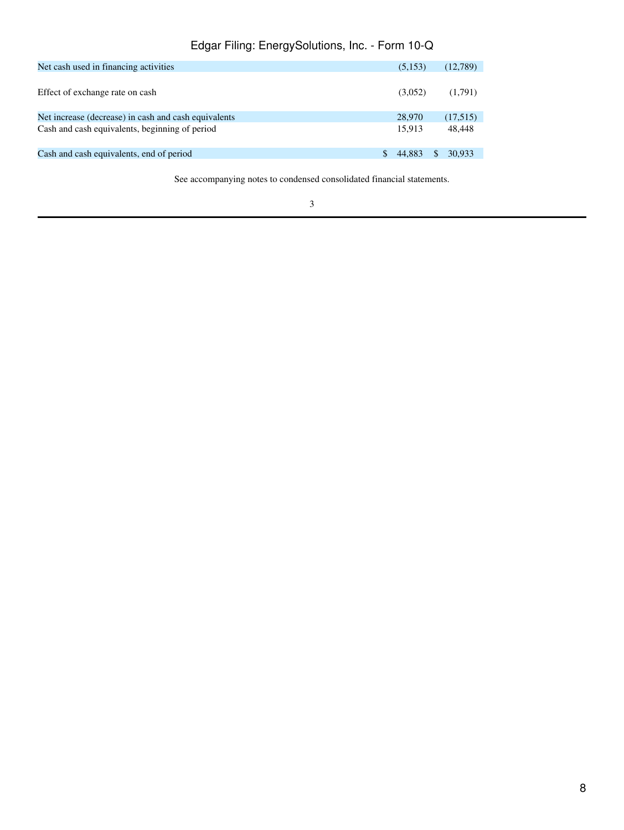# Edgar Filing: EnergySolutions, Inc. - Form 10-Q

| Net cash used in financing activities                | (5,153) | (12,789) |
|------------------------------------------------------|---------|----------|
| Effect of exchange rate on cash                      | (3,052) | (1,791)  |
| Net increase (decrease) in cash and cash equivalents | 28,970  | (17,515) |
| Cash and cash equivalents, beginning of period       | 15.913  | 48.448   |
| Cash and cash equivalents, end of period             | 44.883  | 30,933   |

See accompanying notes to condensed consolidated financial statements.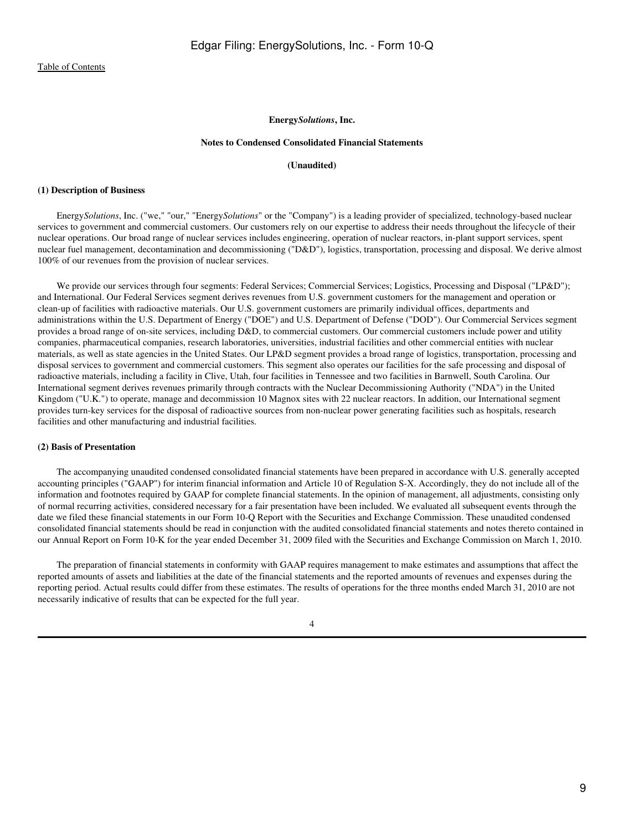#### **Notes to Condensed Consolidated Financial Statements**

#### **(Unaudited)**

#### <span id="page-8-0"></span>**(1) Description of Business**

 Energy*Solutions*, Inc. ("we," "our," "Energy*Solutions*" or the "Company") is a leading provider of specialized, technology-based nuclear services to government and commercial customers. Our customers rely on our expertise to address their needs throughout the lifecycle of their nuclear operations. Our broad range of nuclear services includes engineering, operation of nuclear reactors, in-plant support services, spent nuclear fuel management, decontamination and decommissioning ("D&D"), logistics, transportation, processing and disposal. We derive almost 100% of our revenues from the provision of nuclear services.

We provide our services through four segments: Federal Services; Commercial Services; Logistics, Processing and Disposal ("LP&D"); and International. Our Federal Services segment derives revenues from U.S. government customers for the management and operation or clean-up of facilities with radioactive materials. Our U.S. government customers are primarily individual offices, departments and administrations within the U.S. Department of Energy ("DOE") and U.S. Department of Defense ("DOD"). Our Commercial Services segment provides a broad range of on-site services, including D&D, to commercial customers. Our commercial customers include power and utility companies, pharmaceutical companies, research laboratories, universities, industrial facilities and other commercial entities with nuclear materials, as well as state agencies in the United States. Our LP&D segment provides a broad range of logistics, transportation, processing and disposal services to government and commercial customers. This segment also operates our facilities for the safe processing and disposal of radioactive materials, including a facility in Clive, Utah, four facilities in Tennessee and two facilities in Barnwell, South Carolina. Our International segment derives revenues primarily through contracts with the Nuclear Decommissioning Authority ("NDA") in the United Kingdom ("U.K.") to operate, manage and decommission 10 Magnox sites with 22 nuclear reactors. In addition, our International segment provides turn-key services for the disposal of radioactive sources from non-nuclear power generating facilities such as hospitals, research facilities and other manufacturing and industrial facilities.

#### **(2) Basis of Presentation**

 The accompanying unaudited condensed consolidated financial statements have been prepared in accordance with U.S. generally accepted accounting principles ("GAAP") for interim financial information and Article 10 of Regulation S-X. Accordingly, they do not include all of the information and footnotes required by GAAP for complete financial statements. In the opinion of management, all adjustments, consisting only of normal recurring activities, considered necessary for a fair presentation have been included. We evaluated all subsequent events through the date we filed these financial statements in our Form 10-Q Report with the Securities and Exchange Commission. These unaudited condensed consolidated financial statements should be read in conjunction with the audited consolidated financial statements and notes thereto contained in our Annual Report on Form 10-K for the year ended December 31, 2009 filed with the Securities and Exchange Commission on March 1, 2010.

 The preparation of financial statements in conformity with GAAP requires management to make estimates and assumptions that affect the reported amounts of assets and liabilities at the date of the financial statements and the reported amounts of revenues and expenses during the reporting period. Actual results could differ from these estimates. The results of operations for the three months ended March 31, 2010 are not necessarily indicative of results that can be expected for the full year.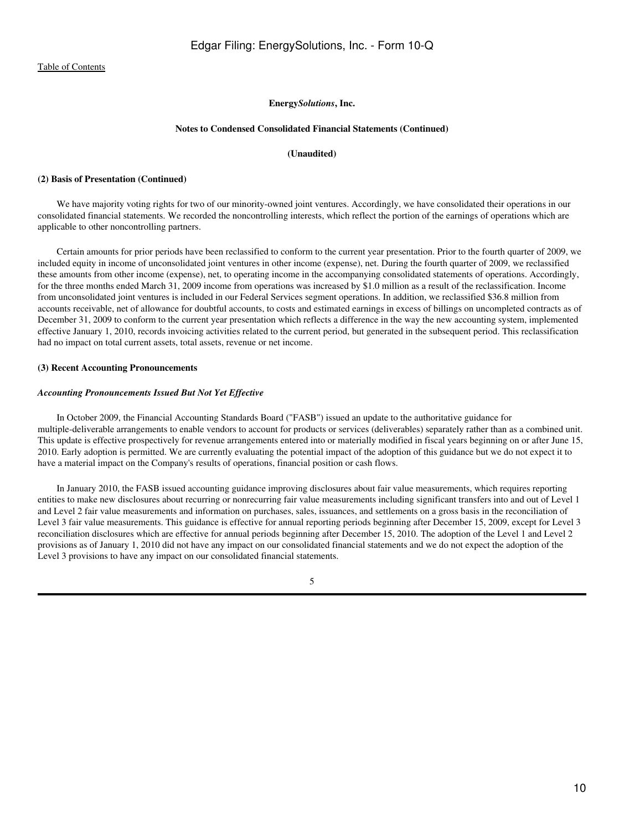#### **Notes to Condensed Consolidated Financial Statements (Continued)**

## **(Unaudited)**

#### **(2) Basis of Presentation (Continued)**

 We have majority voting rights for two of our minority-owned joint ventures. Accordingly, we have consolidated their operations in our consolidated financial statements. We recorded the noncontrolling interests, which reflect the portion of the earnings of operations which are applicable to other noncontrolling partners.

 Certain amounts for prior periods have been reclassified to conform to the current year presentation. Prior to the fourth quarter of 2009, we included equity in income of unconsolidated joint ventures in other income (expense), net. During the fourth quarter of 2009, we reclassified these amounts from other income (expense), net, to operating income in the accompanying consolidated statements of operations. Accordingly, for the three months ended March 31, 2009 income from operations was increased by \$1.0 million as a result of the reclassification. Income from unconsolidated joint ventures is included in our Federal Services segment operations. In addition, we reclassified \$36.8 million from accounts receivable, net of allowance for doubtful accounts, to costs and estimated earnings in excess of billings on uncompleted contracts as of December 31, 2009 to conform to the current year presentation which reflects a difference in the way the new accounting system, implemented effective January 1, 2010, records invoicing activities related to the current period, but generated in the subsequent period. This reclassification had no impact on total current assets, total assets, revenue or net income.

## **(3) Recent Accounting Pronouncements**

#### *Accounting Pronouncements Issued But Not Yet Effective*

 In October 2009, the Financial Accounting Standards Board ("FASB") issued an update to the authoritative guidance for multiple-deliverable arrangements to enable vendors to account for products or services (deliverables) separately rather than as a combined unit. This update is effective prospectively for revenue arrangements entered into or materially modified in fiscal years beginning on or after June 15, 2010. Early adoption is permitted. We are currently evaluating the potential impact of the adoption of this guidance but we do not expect it to have a material impact on the Company's results of operations, financial position or cash flows.

 In January 2010, the FASB issued accounting guidance improving disclosures about fair value measurements, which requires reporting entities to make new disclosures about recurring or nonrecurring fair value measurements including significant transfers into and out of Level 1 and Level 2 fair value measurements and information on purchases, sales, issuances, and settlements on a gross basis in the reconciliation of Level 3 fair value measurements. This guidance is effective for annual reporting periods beginning after December 15, 2009, except for Level 3 reconciliation disclosures which are effective for annual periods beginning after December 15, 2010. The adoption of the Level 1 and Level 2 provisions as of January 1, 2010 did not have any impact on our consolidated financial statements and we do not expect the adoption of the Level 3 provisions to have any impact on our consolidated financial statements.

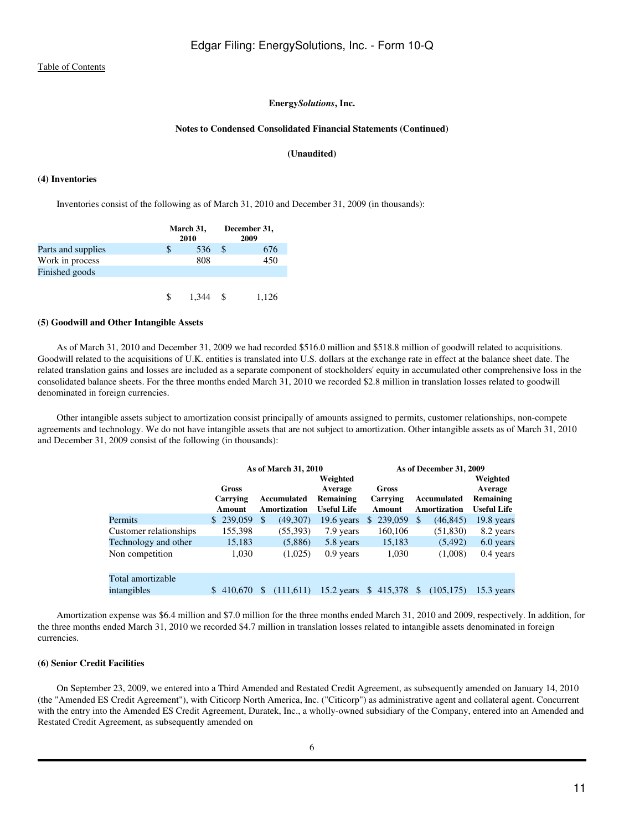#### **Notes to Condensed Consolidated Financial Statements (Continued)**

### **(Unaudited)**

#### **(4) Inventories**

Inventories consist of the following as of March 31, 2010 and December 31, 2009 (in thousands):

|                    | March 31,<br>2010 |       |          | December 31,<br>2009 |
|--------------------|-------------------|-------|----------|----------------------|
| Parts and supplies |                   | 536   | <b>S</b> | 676                  |
| Work in process    |                   | 808   |          | 450                  |
| Finished goods     |                   |       |          |                      |
|                    |                   |       |          |                      |
|                    |                   | 1.344 |          | 1.126                |

## **(5) Goodwill and Other Intangible Assets**

 As of March 31, 2010 and December 31, 2009 we had recorded \$516.0 million and \$518.8 million of goodwill related to acquisitions. Goodwill related to the acquisitions of U.K. entities is translated into U.S. dollars at the exchange rate in effect at the balance sheet date. The related translation gains and losses are included as a separate component of stockholders' equity in accumulated other comprehensive loss in the consolidated balance sheets. For the three months ended March 31, 2010 we recorded \$2.8 million in translation losses related to goodwill denominated in foreign currencies.

 Other intangible assets subject to amortization consist principally of amounts assigned to permits, customer relationships, non-compete agreements and technology. We do not have intangible assets that are not subject to amortization. Other intangible assets as of March 31, 2010 and December 31, 2009 consist of the following (in thousands):

|                        |                             | As of March 31, 2010        |                                                        | As of December 31, 2009     |                                    |                                                        |  |  |  |
|------------------------|-----------------------------|-----------------------------|--------------------------------------------------------|-----------------------------|------------------------------------|--------------------------------------------------------|--|--|--|
|                        | Gross<br>Carrying<br>Amount | Accumulated<br>Amortization | Weighted<br>Average<br>Remaining<br><b>Useful Life</b> | Gross<br>Carrying<br>Amount | Accumulated<br><b>Amortization</b> | Weighted<br>Average<br>Remaining<br><b>Useful Life</b> |  |  |  |
| Permits                | \$239,059                   | -S<br>(49,307)              | 19.6 years                                             | \$239,059                   | (46, 845)<br>-S                    | 19.8 years                                             |  |  |  |
| Customer relationships | 155,398                     | (55,393)                    | 7.9 years                                              | 160,106                     | (51, 830)                          | 8.2 years                                              |  |  |  |
| Technology and other   | 15,183                      | (5,886)                     | 5.8 years                                              | 15,183                      | (5, 492)                           | 6.0 years                                              |  |  |  |
| Non competition        | 1,030                       | (1,025)                     | $0.9$ years                                            | 1,030                       | (1,008)                            | $0.4$ years                                            |  |  |  |
| Total amortizable      |                             |                             |                                                        |                             |                                    |                                                        |  |  |  |
| intangibles            | \$410,670                   | (111,611)<br>\$.            |                                                        | 15.2 years \$415,378 \$     | (105, 175)                         | $15.3$ years                                           |  |  |  |
|                        |                             |                             |                                                        |                             |                                    |                                                        |  |  |  |

 Amortization expense was \$6.4 million and \$7.0 million for the three months ended March 31, 2010 and 2009, respectively. In addition, for the three months ended March 31, 2010 we recorded \$4.7 million in translation losses related to intangible assets denominated in foreign currencies.

#### **(6) Senior Credit Facilities**

 On September 23, 2009, we entered into a Third Amended and Restated Credit Agreement, as subsequently amended on January 14, 2010 (the "Amended ES Credit Agreement"), with Citicorp North America, Inc. ("Citicorp") as administrative agent and collateral agent. Concurrent with the entry into the Amended ES Credit Agreement, Duratek, Inc., a wholly-owned subsidiary of the Company, entered into an Amended and Restated Credit Agreement, as subsequently amended on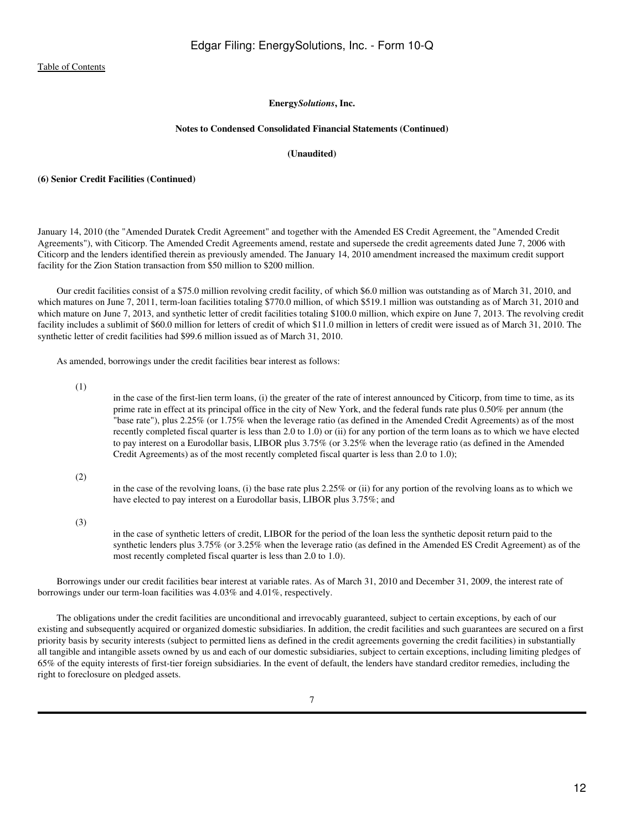#### **Notes to Condensed Consolidated Financial Statements (Continued)**

## **(Unaudited)**

#### **(6) Senior Credit Facilities (Continued)**

January 14, 2010 (the "Amended Duratek Credit Agreement" and together with the Amended ES Credit Agreement, the "Amended Credit Agreements"), with Citicorp. The Amended Credit Agreements amend, restate and supersede the credit agreements dated June 7, 2006 with Citicorp and the lenders identified therein as previously amended. The January 14, 2010 amendment increased the maximum credit support facility for the Zion Station transaction from \$50 million to \$200 million.

 Our credit facilities consist of a \$75.0 million revolving credit facility, of which \$6.0 million was outstanding as of March 31, 2010, and which matures on June 7, 2011, term-loan facilities totaling \$770.0 million, of which \$519.1 million was outstanding as of March 31, 2010 and which mature on June 7, 2013, and synthetic letter of credit facilities totaling \$100.0 million, which expire on June 7, 2013. The revolving credit facility includes a sublimit of \$60.0 million for letters of credit of which \$11.0 million in letters of credit were issued as of March 31, 2010. The synthetic letter of credit facilities had \$99.6 million issued as of March 31, 2010.

As amended, borrowings under the credit facilities bear interest as follows:

(1)

in the case of the first-lien term loans, (i) the greater of the rate of interest announced by Citicorp, from time to time, as its prime rate in effect at its principal office in the city of New York, and the federal funds rate plus 0.50% per annum (the "base rate"), plus 2.25% (or 1.75% when the leverage ratio (as defined in the Amended Credit Agreements) as of the most recently completed fiscal quarter is less than 2.0 to 1.0) or (ii) for any portion of the term loans as to which we have elected to pay interest on a Eurodollar basis, LIBOR plus 3.75% (or 3.25% when the leverage ratio (as defined in the Amended Credit Agreements) as of the most recently completed fiscal quarter is less than 2.0 to 1.0);

(2)

in the case of the revolving loans, (i) the base rate plus 2.25% or (ii) for any portion of the revolving loans as to which we have elected to pay interest on a Eurodollar basis, LIBOR plus 3.75%; and

(3)

in the case of synthetic letters of credit, LIBOR for the period of the loan less the synthetic deposit return paid to the synthetic lenders plus 3.75% (or 3.25% when the leverage ratio (as defined in the Amended ES Credit Agreement) as of the most recently completed fiscal quarter is less than 2.0 to 1.0).

 Borrowings under our credit facilities bear interest at variable rates. As of March 31, 2010 and December 31, 2009, the interest rate of borrowings under our term-loan facilities was 4.03% and 4.01%, respectively.

 The obligations under the credit facilities are unconditional and irrevocably guaranteed, subject to certain exceptions, by each of our existing and subsequently acquired or organized domestic subsidiaries. In addition, the credit facilities and such guarantees are secured on a first priority basis by security interests (subject to permitted liens as defined in the credit agreements governing the credit facilities) in substantially all tangible and intangible assets owned by us and each of our domestic subsidiaries, subject to certain exceptions, including limiting pledges of 65% of the equity interests of first-tier foreign subsidiaries. In the event of default, the lenders have standard creditor remedies, including the right to foreclosure on pledged assets.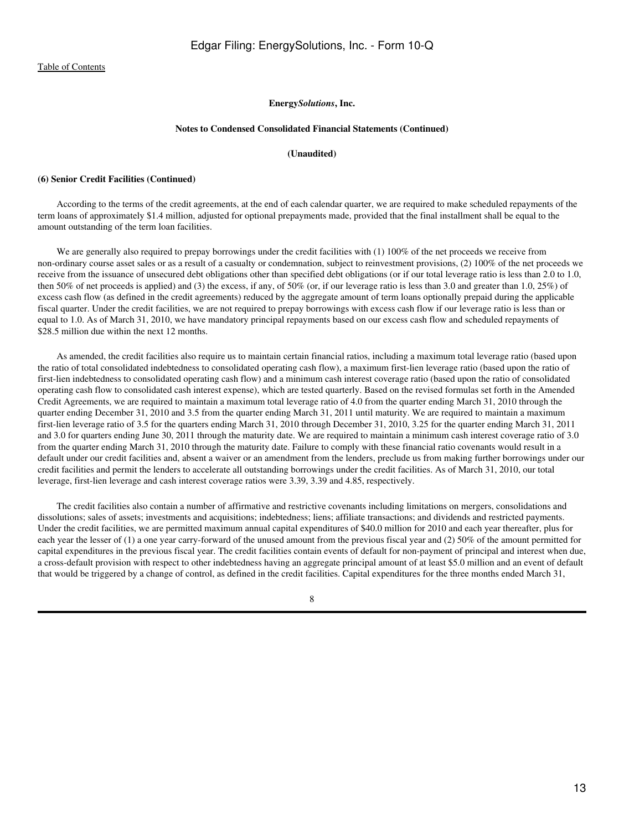#### **Notes to Condensed Consolidated Financial Statements (Continued)**

### **(Unaudited)**

#### **(6) Senior Credit Facilities (Continued)**

 According to the terms of the credit agreements, at the end of each calendar quarter, we are required to make scheduled repayments of the term loans of approximately \$1.4 million, adjusted for optional prepayments made, provided that the final installment shall be equal to the amount outstanding of the term loan facilities.

We are generally also required to prepay borrowings under the credit facilities with (1) 100% of the net proceeds we receive from non-ordinary course asset sales or as a result of a casualty or condemnation, subject to reinvestment provisions, (2) 100% of the net proceeds we receive from the issuance of unsecured debt obligations other than specified debt obligations (or if our total leverage ratio is less than 2.0 to 1.0, then 50% of net proceeds is applied) and (3) the excess, if any, of 50% (or, if our leverage ratio is less than 3.0 and greater than 1.0, 25%) of excess cash flow (as defined in the credit agreements) reduced by the aggregate amount of term loans optionally prepaid during the applicable fiscal quarter. Under the credit facilities, we are not required to prepay borrowings with excess cash flow if our leverage ratio is less than or equal to 1.0. As of March 31, 2010, we have mandatory principal repayments based on our excess cash flow and scheduled repayments of \$28.5 million due within the next 12 months.

 As amended, the credit facilities also require us to maintain certain financial ratios, including a maximum total leverage ratio (based upon the ratio of total consolidated indebtedness to consolidated operating cash flow), a maximum first-lien leverage ratio (based upon the ratio of first-lien indebtedness to consolidated operating cash flow) and a minimum cash interest coverage ratio (based upon the ratio of consolidated operating cash flow to consolidated cash interest expense), which are tested quarterly. Based on the revised formulas set forth in the Amended Credit Agreements, we are required to maintain a maximum total leverage ratio of 4.0 from the quarter ending March 31, 2010 through the quarter ending December 31, 2010 and 3.5 from the quarter ending March 31, 2011 until maturity. We are required to maintain a maximum first-lien leverage ratio of 3.5 for the quarters ending March 31, 2010 through December 31, 2010, 3.25 for the quarter ending March 31, 2011 and 3.0 for quarters ending June 30, 2011 through the maturity date. We are required to maintain a minimum cash interest coverage ratio of 3.0 from the quarter ending March 31, 2010 through the maturity date. Failure to comply with these financial ratio covenants would result in a default under our credit facilities and, absent a waiver or an amendment from the lenders, preclude us from making further borrowings under our credit facilities and permit the lenders to accelerate all outstanding borrowings under the credit facilities. As of March 31, 2010, our total leverage, first-lien leverage and cash interest coverage ratios were 3.39, 3.39 and 4.85, respectively.

 The credit facilities also contain a number of affirmative and restrictive covenants including limitations on mergers, consolidations and dissolutions; sales of assets; investments and acquisitions; indebtedness; liens; affiliate transactions; and dividends and restricted payments. Under the credit facilities, we are permitted maximum annual capital expenditures of \$40.0 million for 2010 and each year thereafter, plus for each year the lesser of (1) a one year carry-forward of the unused amount from the previous fiscal year and (2) 50% of the amount permitted for capital expenditures in the previous fiscal year. The credit facilities contain events of default for non-payment of principal and interest when due, a cross-default provision with respect to other indebtedness having an aggregate principal amount of at least \$5.0 million and an event of default that would be triggered by a change of control, as defined in the credit facilities. Capital expenditures for the three months ended March 31,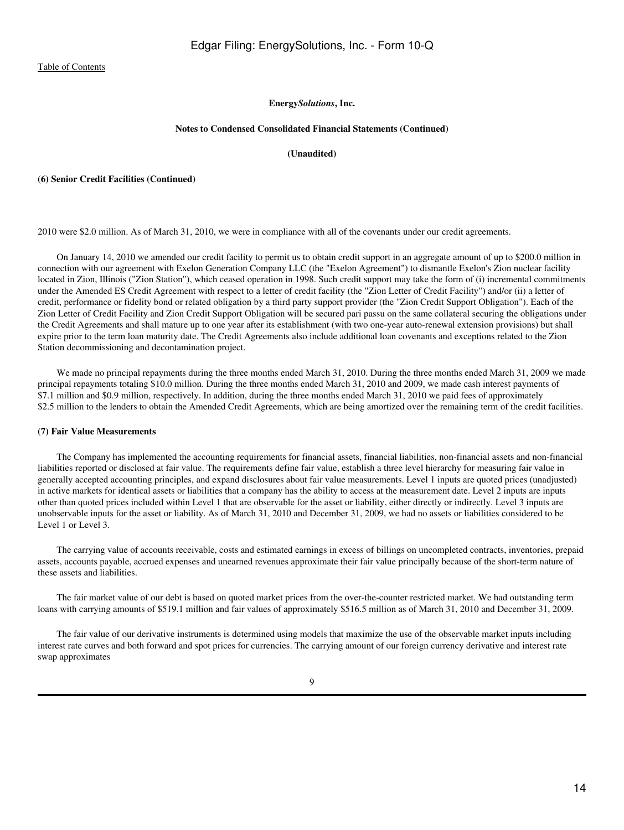#### **Notes to Condensed Consolidated Financial Statements (Continued)**

### **(Unaudited)**

#### **(6) Senior Credit Facilities (Continued)**

2010 were \$2.0 million. As of March 31, 2010, we were in compliance with all of the covenants under our credit agreements.

 On January 14, 2010 we amended our credit facility to permit us to obtain credit support in an aggregate amount of up to \$200.0 million in connection with our agreement with Exelon Generation Company LLC (the "Exelon Agreement") to dismantle Exelon's Zion nuclear facility located in Zion, Illinois ("Zion Station"), which ceased operation in 1998. Such credit support may take the form of (i) incremental commitments under the Amended ES Credit Agreement with respect to a letter of credit facility (the "Zion Letter of Credit Facility") and/or (ii) a letter of credit, performance or fidelity bond or related obligation by a third party support provider (the "Zion Credit Support Obligation"). Each of the Zion Letter of Credit Facility and Zion Credit Support Obligation will be secured pari passu on the same collateral securing the obligations under the Credit Agreements and shall mature up to one year after its establishment (with two one-year auto-renewal extension provisions) but shall expire prior to the term loan maturity date. The Credit Agreements also include additional loan covenants and exceptions related to the Zion Station decommissioning and decontamination project.

 We made no principal repayments during the three months ended March 31, 2010. During the three months ended March 31, 2009 we made principal repayments totaling \$10.0 million. During the three months ended March 31, 2010 and 2009, we made cash interest payments of \$7.1 million and \$0.9 million, respectively. In addition, during the three months ended March 31, 2010 we paid fees of approximately \$2.5 million to the lenders to obtain the Amended Credit Agreements, which are being amortized over the remaining term of the credit facilities.

#### **(7) Fair Value Measurements**

 The Company has implemented the accounting requirements for financial assets, financial liabilities, non-financial assets and non-financial liabilities reported or disclosed at fair value. The requirements define fair value, establish a three level hierarchy for measuring fair value in generally accepted accounting principles, and expand disclosures about fair value measurements. Level 1 inputs are quoted prices (unadjusted) in active markets for identical assets or liabilities that a company has the ability to access at the measurement date. Level 2 inputs are inputs other than quoted prices included within Level 1 that are observable for the asset or liability, either directly or indirectly. Level 3 inputs are unobservable inputs for the asset or liability. As of March 31, 2010 and December 31, 2009, we had no assets or liabilities considered to be Level 1 or Level 3.

 The carrying value of accounts receivable, costs and estimated earnings in excess of billings on uncompleted contracts, inventories, prepaid assets, accounts payable, accrued expenses and unearned revenues approximate their fair value principally because of the short-term nature of these assets and liabilities.

 The fair market value of our debt is based on quoted market prices from the over-the-counter restricted market. We had outstanding term loans with carrying amounts of \$519.1 million and fair values of approximately \$516.5 million as of March 31, 2010 and December 31, 2009.

 The fair value of our derivative instruments is determined using models that maximize the use of the observable market inputs including interest rate curves and both forward and spot prices for currencies. The carrying amount of our foreign currency derivative and interest rate swap approximates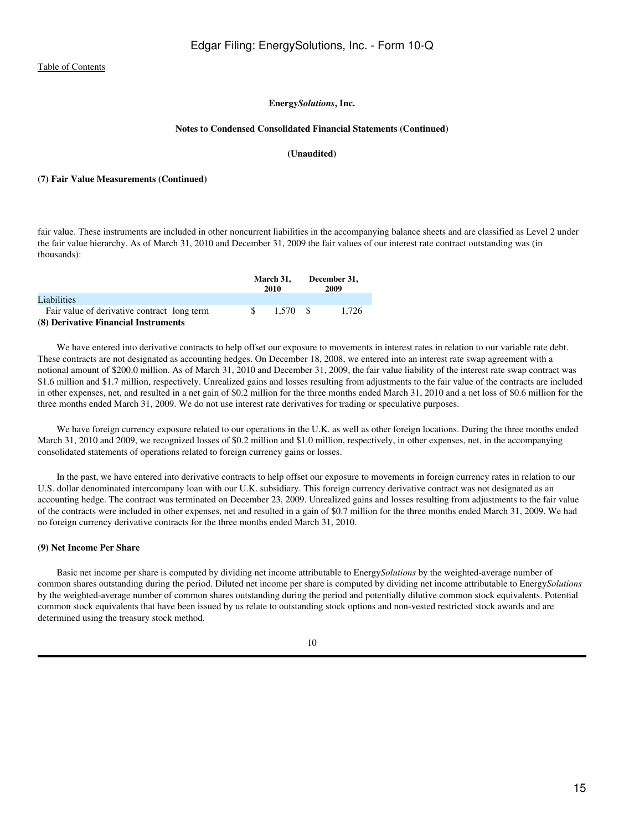#### **Notes to Condensed Consolidated Financial Statements (Continued)**

## **(Unaudited)**

#### **(7) Fair Value Measurements (Continued)**

fair value. These instruments are included in other noncurrent liabilities in the accompanying balance sheets and are classified as Level 2 under the fair value hierarchy. As of March 31, 2010 and December 31, 2009 the fair values of our interest rate contract outstanding was (in thousands):

|                                             |     | March 31.<br>2010 | December 31,<br>2009 |
|---------------------------------------------|-----|-------------------|----------------------|
| Liabilities                                 |     |                   |                      |
| Fair value of derivative contract long term | -SS | 1.570 S           | 1.726                |
| (8) Derivative Financial Instruments        |     |                   |                      |

 We have entered into derivative contracts to help offset our exposure to movements in interest rates in relation to our variable rate debt. These contracts are not designated as accounting hedges. On December 18, 2008, we entered into an interest rate swap agreement with a notional amount of \$200.0 million. As of March 31, 2010 and December 31, 2009, the fair value liability of the interest rate swap contract was \$1.6 million and \$1.7 million, respectively. Unrealized gains and losses resulting from adjustments to the fair value of the contracts are included in other expenses, net, and resulted in a net gain of \$0.2 million for the three months ended March 31, 2010 and a net loss of \$0.6 million for the three months ended March 31, 2009. We do not use interest rate derivatives for trading or speculative purposes.

We have foreign currency exposure related to our operations in the U.K. as well as other foreign locations. During the three months ended March 31, 2010 and 2009, we recognized losses of \$0.2 million and \$1.0 million, respectively, in other expenses, net, in the accompanying consolidated statements of operations related to foreign currency gains or losses.

 In the past, we have entered into derivative contracts to help offset our exposure to movements in foreign currency rates in relation to our U.S. dollar denominated intercompany loan with our U.K. subsidiary. This foreign currency derivative contract was not designated as an accounting hedge. The contract was terminated on December 23, 2009. Unrealized gains and losses resulting from adjustments to the fair value of the contracts were included in other expenses, net and resulted in a gain of \$0.7 million for the three months ended March 31, 2009. We had no foreign currency derivative contracts for the three months ended March 31, 2010.

## **(9) Net Income Per Share**

 Basic net income per share is computed by dividing net income attributable to Energy*Solutions* by the weighted-average number of common shares outstanding during the period. Diluted net income per share is computed by dividing net income attributable to Energy*Solutions* by the weighted-average number of common shares outstanding during the period and potentially dilutive common stock equivalents. Potential common stock equivalents that have been issued by us relate to outstanding stock options and non-vested restricted stock awards and are determined using the treasury stock method.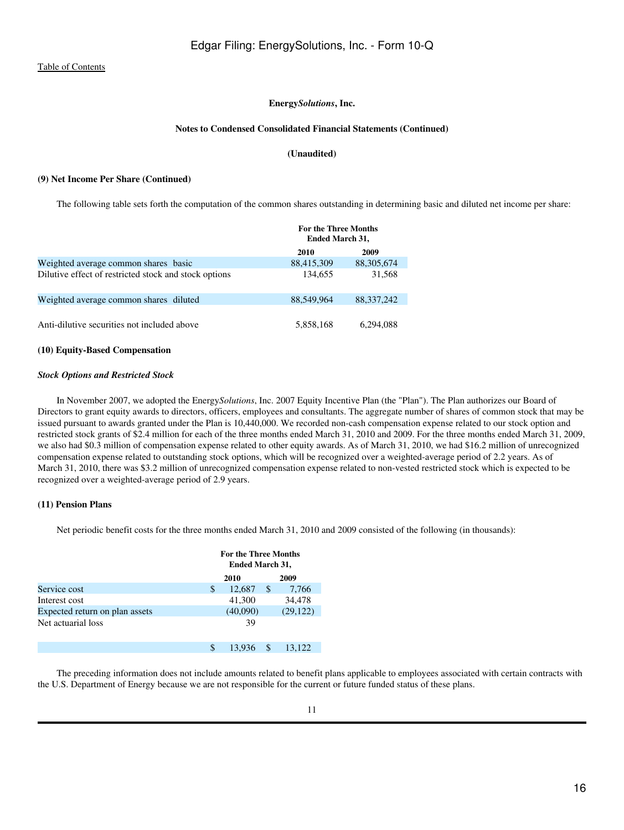#### **Notes to Condensed Consolidated Financial Statements (Continued)**

## **(Unaudited)**

#### **(9) Net Income Per Share (Continued)**

The following table sets forth the computation of the common shares outstanding in determining basic and diluted net income per share:

|                                                       | <b>For the Three Months</b><br><b>Ended March 31,</b> |              |  |
|-------------------------------------------------------|-------------------------------------------------------|--------------|--|
|                                                       | 2010                                                  | 2009         |  |
| Weighted average common shares basic                  | 88,415,309                                            | 88, 305, 674 |  |
| Dilutive effect of restricted stock and stock options | 134,655                                               | 31,568       |  |
| Weighted average common shares diluted                | 88.549.964                                            | 88, 337, 242 |  |
| Anti-dilutive securities not included above           | 5,858,168                                             | 6.294.088    |  |

#### **(10) Equity-Based Compensation**

#### *Stock Options and Restricted Stock*

 In November 2007, we adopted the Energy*Solutions*, Inc. 2007 Equity Incentive Plan (the "Plan"). The Plan authorizes our Board of Directors to grant equity awards to directors, officers, employees and consultants. The aggregate number of shares of common stock that may be issued pursuant to awards granted under the Plan is 10,440,000. We recorded non-cash compensation expense related to our stock option and restricted stock grants of \$2.4 million for each of the three months ended March 31, 2010 and 2009. For the three months ended March 31, 2009, we also had \$0.3 million of compensation expense related to other equity awards. As of March 31, 2010, we had \$16.2 million of unrecognized compensation expense related to outstanding stock options, which will be recognized over a weighted-average period of 2.2 years. As of March 31, 2010, there was \$3.2 million of unrecognized compensation expense related to non-vested restricted stock which is expected to be recognized over a weighted-average period of 2.9 years.

#### **(11) Pension Plans**

Net periodic benefit costs for the three months ended March 31, 2010 and 2009 consisted of the following (in thousands):

|                                | <b>For the Three Months</b><br><b>Ended March 31,</b> |          |   |           |
|--------------------------------|-------------------------------------------------------|----------|---|-----------|
|                                | 2010                                                  |          |   | 2009      |
| Service cost                   | S                                                     | 12,687   | S | 7,766     |
| Interest cost                  |                                                       | 41,300   |   | 34,478    |
| Expected return on plan assets |                                                       | (40,090) |   | (29, 122) |
| Net actuarial loss             |                                                       | 39       |   |           |
|                                | S                                                     | 13.936   |   | 13.122    |

 The preceding information does not include amounts related to benefit plans applicable to employees associated with certain contracts with the U.S. Department of Energy because we are not responsible for the current or future funded status of these plans.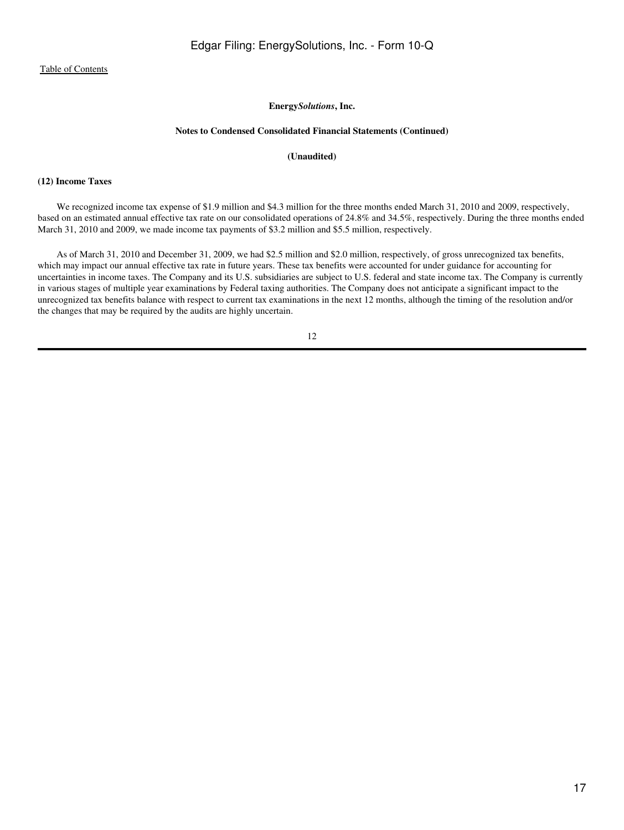#### **Notes to Condensed Consolidated Financial Statements (Continued)**

#### **(Unaudited)**

#### **(12) Income Taxes**

 We recognized income tax expense of \$1.9 million and \$4.3 million for the three months ended March 31, 2010 and 2009, respectively, based on an estimated annual effective tax rate on our consolidated operations of 24.8% and 34.5%, respectively. During the three months ended March 31, 2010 and 2009, we made income tax payments of \$3.2 million and \$5.5 million, respectively.

 As of March 31, 2010 and December 31, 2009, we had \$2.5 million and \$2.0 million, respectively, of gross unrecognized tax benefits, which may impact our annual effective tax rate in future years. These tax benefits were accounted for under guidance for accounting for uncertainties in income taxes. The Company and its U.S. subsidiaries are subject to U.S. federal and state income tax. The Company is currently in various stages of multiple year examinations by Federal taxing authorities. The Company does not anticipate a significant impact to the unrecognized tax benefits balance with respect to current tax examinations in the next 12 months, although the timing of the resolution and/or the changes that may be required by the audits are highly uncertain.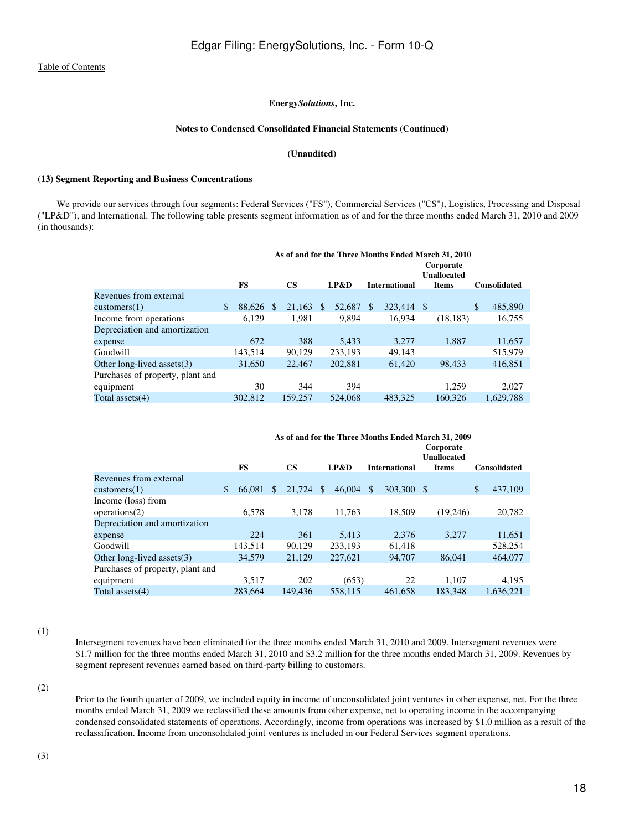#### **Notes to Condensed Consolidated Financial Statements (Continued)**

## **(Unaudited)**

## **(13) Segment Reporting and Business Concentrations**

 We provide our services through four segments: Federal Services ("FS"), Commercial Services ("CS"), Logistics, Processing and Disposal ("LP&D"), and International. The following table presents segment information as of and for the three months ended March 31, 2010 and 2009 (in thousands):

|                                  | As of and for the Three Months Ended March 31, 2010 |           |   |               |               |         |               |                                 |     |              |    |                     |
|----------------------------------|-----------------------------------------------------|-----------|---|---------------|---------------|---------|---------------|---------------------------------|-----|--------------|----|---------------------|
|                                  |                                                     |           |   |               |               |         |               | Corporate<br><b>Unallocated</b> |     |              |    |                     |
|                                  |                                                     | <b>FS</b> |   | $\mathbf{CS}$ |               | LP&D    |               | <b>International</b>            |     | <b>Items</b> |    | <b>Consolidated</b> |
| Revenues from external           |                                                     |           |   |               |               |         |               |                                 |     |              |    |                     |
| $\text{customers}(1)$            | \$                                                  | 88,626    | S | 21,163        | <sup>\$</sup> | 52,687  | <sup>\$</sup> | 323,414                         | -\$ |              | \$ | 485,890             |
| Income from operations           |                                                     | 6,129     |   | 1.981         |               | 9.894   |               | 16.934                          |     | (18, 183)    |    | 16,755              |
| Depreciation and amortization    |                                                     |           |   |               |               |         |               |                                 |     |              |    |                     |
| expense                          |                                                     | 672       |   | 388           |               | 5.433   |               | 3.277                           |     | 1.887        |    | 11,657              |
| Goodwill                         |                                                     | 143.514   |   | 90.129        |               | 233.193 |               | 49.143                          |     |              |    | 515,979             |
| Other long-lived assets $(3)$    |                                                     | 31,650    |   | 22,467        |               | 202,881 |               | 61,420                          |     | 98,433       |    | 416,851             |
| Purchases of property, plant and |                                                     |           |   |               |               |         |               |                                 |     |              |    |                     |
| equipment                        |                                                     | 30        |   | 344           |               | 394     |               |                                 |     | 1.259        |    | 2.027               |
| Total assets $(4)$               |                                                     | 302,812   |   | 159,257       |               | 524,068 |               | 483.325                         |     | 160,326      |    | 1.629.788           |

|                                  | As of and for the Three Months Ended March 31, 2009 |              |           |     |         |               |                      |  |              |              |                     |
|----------------------------------|-----------------------------------------------------|--------------|-----------|-----|---------|---------------|----------------------|--|--------------|--------------|---------------------|
|                                  | Corporate<br><b>Unallocated</b>                     |              |           |     |         |               |                      |  |              |              |                     |
|                                  | <b>FS</b>                                           |              | <b>CS</b> |     | LP&D    |               | <b>International</b> |  | <b>Items</b> |              | <b>Consolidated</b> |
| Revenues from external           |                                                     |              |           |     |         |               |                      |  |              |              |                     |
| $\text{customers}(1)$            | 66,081<br>\$                                        | $\mathbb{S}$ | 21,724    | \$. | 46,004  | <sup>\$</sup> | 303,300 \$           |  |              | $\mathbb{S}$ | 437,109             |
| Income (loss) from               |                                                     |              |           |     |         |               |                      |  |              |              |                     |
| operations(2)                    | 6,578                                               |              | 3,178     |     | 11,763  |               | 18,509               |  | (19,246)     |              | 20,782              |
| Depreciation and amortization    |                                                     |              |           |     |         |               |                      |  |              |              |                     |
| expense                          | 224                                                 |              | 361       |     | 5.413   |               | 2.376                |  | 3.277        |              | 11,651              |
| Goodwill                         | 143.514                                             |              | 90.129    |     | 233.193 |               | 61,418               |  |              |              | 528,254             |
| Other long-lived assets $(3)$    | 34,579                                              |              | 21,129    |     | 227,621 |               | 94,707               |  | 86,041       |              | 464,077             |
| Purchases of property, plant and |                                                     |              |           |     |         |               |                      |  |              |              |                     |
| equipment                        | 3,517                                               |              | 202       |     | (653)   |               | 22                   |  | 1.107        |              | 4.195               |
| Total assets $(4)$               | 283.664                                             |              | 149,436   |     | 558.115 |               | 461.658              |  | 183.348      |              | 1.636.221           |

(1)

Intersegment revenues have been eliminated for the three months ended March 31, 2010 and 2009. Intersegment revenues were \$1.7 million for the three months ended March 31, 2010 and \$3.2 million for the three months ended March 31, 2009. Revenues by segment represent revenues earned based on third-party billing to customers.

(2)

Prior to the fourth quarter of 2009, we included equity in income of unconsolidated joint ventures in other expense, net. For the three months ended March 31, 2009 we reclassified these amounts from other expense, net to operating income in the accompanying condensed consolidated statements of operations. Accordingly, income from operations was increased by \$1.0 million as a result of the reclassification. Income from unconsolidated joint ventures is included in our Federal Services segment operations.

(3)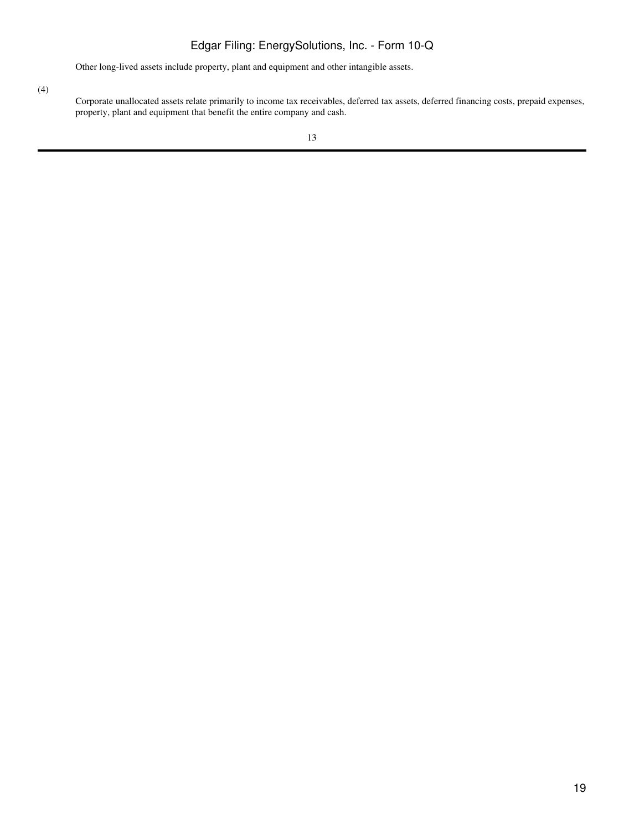# Edgar Filing: EnergySolutions, Inc. - Form 10-Q

Other long-lived assets include property, plant and equipment and other intangible assets.

(4)

Corporate unallocated assets relate primarily to income tax receivables, deferred tax assets, deferred financing costs, prepaid expenses, property, plant and equipment that benefit the entire company and cash.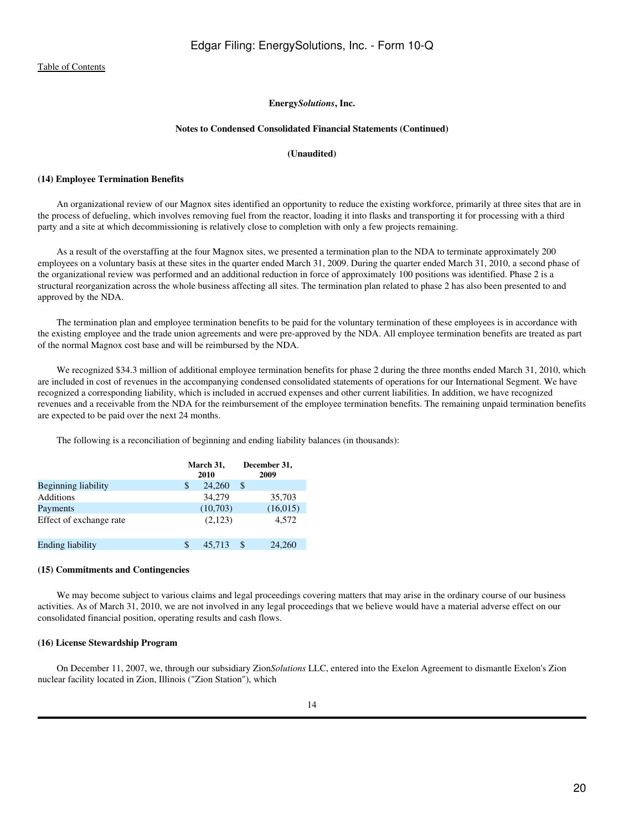#### **Notes to Condensed Consolidated Financial Statements (Continued)**

## **(Unaudited)**

#### **(14) Employee Termination Benefits**

 An organizational review of our Magnox sites identified an opportunity to reduce the existing workforce, primarily at three sites that are in the process of defueling, which involves removing fuel from the reactor, loading it into flasks and transporting it for processing with a third party and a site at which decommissioning is relatively close to completion with only a few projects remaining.

 As a result of the overstaffing at the four Magnox sites, we presented a termination plan to the NDA to terminate approximately 200 employees on a voluntary basis at these sites in the quarter ended March 31, 2009. During the quarter ended March 31, 2010, a second phase of the organizational review was performed and an additional reduction in force of approximately 100 positions was identified. Phase 2 is a structural reorganization across the whole business affecting all sites. The termination plan related to phase 2 has also been presented to and approved by the NDA.

 The termination plan and employee termination benefits to be paid for the voluntary termination of these employees is in accordance with the existing employee and the trade union agreements and were pre-approved by the NDA. All employee termination benefits are treated as part of the normal Magnox cost base and will be reimbursed by the NDA.

We recognized \$34.3 million of additional employee termination benefits for phase 2 during the three months ended March 31, 2010, which are included in cost of revenues in the accompanying condensed consolidated statements of operations for our International Segment. We have recognized a corresponding liability, which is included in accrued expenses and other current liabilities. In addition, we have recognized revenues and a receivable from the NDA for the reimbursement of the employee termination benefits. The remaining unpaid termination benefits are expected to be paid over the next 24 months.

The following is a reconciliation of beginning and ending liability balances (in thousands):

|                         |    | March 31,<br>2010 |    | December 31,<br>2009 |
|-------------------------|----|-------------------|----|----------------------|
| Beginning liability     | S  | 24,260            | \$ |                      |
| Additions               |    | 34,279            |    | 35,703               |
| Payments                |    | (10,703)          |    | (16,015)             |
| Effect of exchange rate |    | (2,123)           |    | 4,572                |
| Ending liability        | \$ | 45.713            | S. | 24,260               |

#### **(15) Commitments and Contingencies**

We may become subject to various claims and legal proceedings covering matters that may arise in the ordinary course of our business activities. As of March 31, 2010, we are not involved in any legal proceedings that we believe would have a material adverse effect on our consolidated financial position, operating results and cash flows.

### **(16) License Stewardship Program**

 On December 11, 2007, we, through our subsidiary Zion*Solutions* LLC, entered into the Exelon Agreement to dismantle Exelon's Zion nuclear facility located in Zion, Illinois ("Zion Station"), which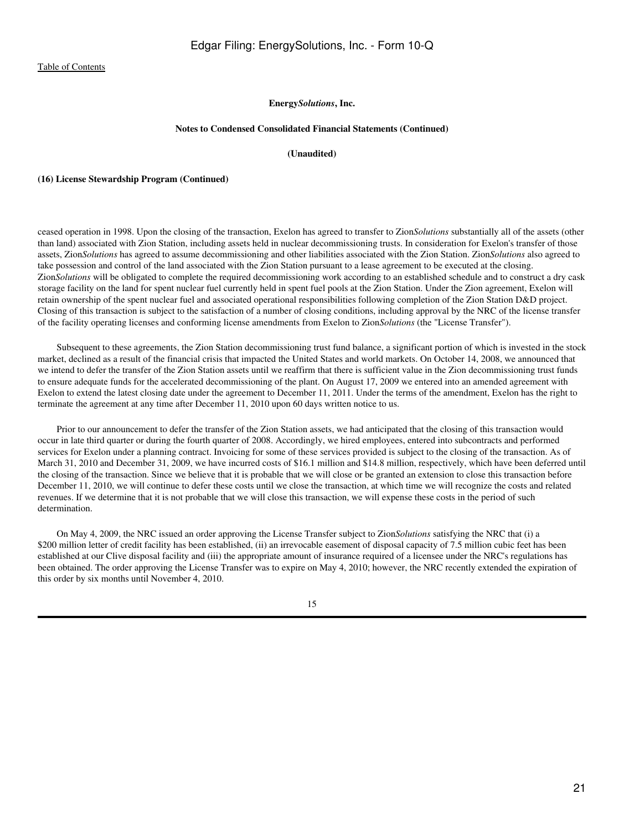#### **Notes to Condensed Consolidated Financial Statements (Continued)**

### **(Unaudited)**

#### **(16) License Stewardship Program (Continued)**

ceased operation in 1998. Upon the closing of the transaction, Exelon has agreed to transfer to Zion*Solutions* substantially all of the assets (other than land) associated with Zion Station, including assets held in nuclear decommissioning trusts. In consideration for Exelon's transfer of those assets, Zion*Solutions* has agreed to assume decommissioning and other liabilities associated with the Zion Station. Zion*Solutions* also agreed to take possession and control of the land associated with the Zion Station pursuant to a lease agreement to be executed at the closing. Zion*Solutions* will be obligated to complete the required decommissioning work according to an established schedule and to construct a dry cask storage facility on the land for spent nuclear fuel currently held in spent fuel pools at the Zion Station. Under the Zion agreement, Exelon will retain ownership of the spent nuclear fuel and associated operational responsibilities following completion of the Zion Station D&D project. Closing of this transaction is subject to the satisfaction of a number of closing conditions, including approval by the NRC of the license transfer of the facility operating licenses and conforming license amendments from Exelon to Zion*Solutions* (the "License Transfer").

 Subsequent to these agreements, the Zion Station decommissioning trust fund balance, a significant portion of which is invested in the stock market, declined as a result of the financial crisis that impacted the United States and world markets. On October 14, 2008, we announced that we intend to defer the transfer of the Zion Station assets until we reaffirm that there is sufficient value in the Zion decommissioning trust funds to ensure adequate funds for the accelerated decommissioning of the plant. On August 17, 2009 we entered into an amended agreement with Exelon to extend the latest closing date under the agreement to December 11, 2011. Under the terms of the amendment, Exelon has the right to terminate the agreement at any time after December 11, 2010 upon 60 days written notice to us.

 Prior to our announcement to defer the transfer of the Zion Station assets, we had anticipated that the closing of this transaction would occur in late third quarter or during the fourth quarter of 2008. Accordingly, we hired employees, entered into subcontracts and performed services for Exelon under a planning contract. Invoicing for some of these services provided is subject to the closing of the transaction. As of March 31, 2010 and December 31, 2009, we have incurred costs of \$16.1 million and \$14.8 million, respectively, which have been deferred until the closing of the transaction. Since we believe that it is probable that we will close or be granted an extension to close this transaction before December 11, 2010, we will continue to defer these costs until we close the transaction, at which time we will recognize the costs and related revenues. If we determine that it is not probable that we will close this transaction, we will expense these costs in the period of such determination.

 On May 4, 2009, the NRC issued an order approving the License Transfer subject to Zion*Solutions* satisfying the NRC that (i) a \$200 million letter of credit facility has been established, (ii) an irrevocable easement of disposal capacity of 7.5 million cubic feet has been established at our Clive disposal facility and (iii) the appropriate amount of insurance required of a licensee under the NRC's regulations has been obtained. The order approving the License Transfer was to expire on May 4, 2010; however, the NRC recently extended the expiration of this order by six months until November 4, 2010.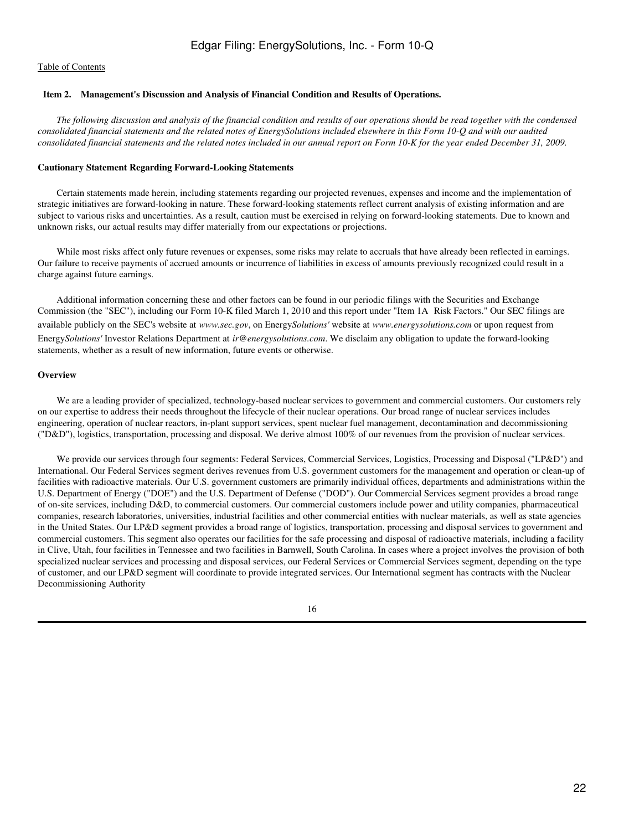## <span id="page-21-0"></span> **Item 2. Management's Discussion and Analysis of Financial Condition and Results of Operations.**

*The following discussion and analysis of the financial condition and results of our operations should be read together with the condensed consolidated financial statements and the related notes of EnergySolutions included elsewhere in this Form 10-Q and with our audited consolidated financial statements and the related notes included in our annual report on Form 10-K for the year ended December 31, 2009.*

#### **Cautionary Statement Regarding Forward-Looking Statements**

 Certain statements made herein, including statements regarding our projected revenues, expenses and income and the implementation of strategic initiatives are forward-looking in nature. These forward-looking statements reflect current analysis of existing information and are subject to various risks and uncertainties. As a result, caution must be exercised in relying on forward-looking statements. Due to known and unknown risks, our actual results may differ materially from our expectations or projections.

While most risks affect only future revenues or expenses, some risks may relate to accruals that have already been reflected in earnings. Our failure to receive payments of accrued amounts or incurrence of liabilities in excess of amounts previously recognized could result in a charge against future earnings.

 Additional information concerning these and other factors can be found in our periodic filings with the Securities and Exchange Commission (the "SEC"), including our Form 10-K filed March 1, 2010 and this report under "Item 1A Risk Factors." Our SEC filings are available publicly on the SEC's website at *www.sec.gov*, on Energy*Solutions'* website at *www.energysolutions.com* or upon request from Energy*Solutions'* Investor Relations Department at *ir@energysolutions.com*. We disclaim any obligation to update the forward-looking statements, whether as a result of new information, future events or otherwise.

#### **Overview**

 We are a leading provider of specialized, technology-based nuclear services to government and commercial customers. Our customers rely on our expertise to address their needs throughout the lifecycle of their nuclear operations. Our broad range of nuclear services includes engineering, operation of nuclear reactors, in-plant support services, spent nuclear fuel management, decontamination and decommissioning ("D&D"), logistics, transportation, processing and disposal. We derive almost 100% of our revenues from the provision of nuclear services.

 We provide our services through four segments: Federal Services, Commercial Services, Logistics, Processing and Disposal ("LP&D") and International. Our Federal Services segment derives revenues from U.S. government customers for the management and operation or clean-up of facilities with radioactive materials. Our U.S. government customers are primarily individual offices, departments and administrations within the U.S. Department of Energy ("DOE") and the U.S. Department of Defense ("DOD"). Our Commercial Services segment provides a broad range of on-site services, including D&D, to commercial customers. Our commercial customers include power and utility companies, pharmaceutical companies, research laboratories, universities, industrial facilities and other commercial entities with nuclear materials, as well as state agencies in the United States. Our LP&D segment provides a broad range of logistics, transportation, processing and disposal services to government and commercial customers. This segment also operates our facilities for the safe processing and disposal of radioactive materials, including a facility in Clive, Utah, four facilities in Tennessee and two facilities in Barnwell, South Carolina. In cases where a project involves the provision of both specialized nuclear services and processing and disposal services, our Federal Services or Commercial Services segment, depending on the type of customer, and our LP&D segment will coordinate to provide integrated services. Our International segment has contracts with the Nuclear Decommissioning Authority

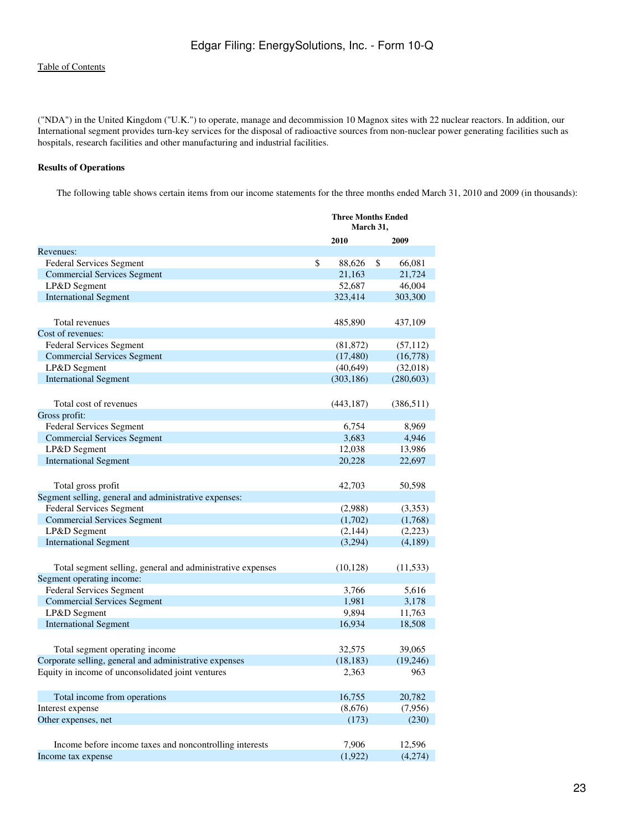("NDA") in the United Kingdom ("U.K.") to operate, manage and decommission 10 Magnox sites with 22 nuclear reactors. In addition, our International segment provides turn-key services for the disposal of radioactive sources from non-nuclear power generating facilities such as hospitals, research facilities and other manufacturing and industrial facilities.

# **Results of Operations**

The following table shows certain items from our income statements for the three months ended March 31, 2010 and 2009 (in thousands):

| 2010<br>2009<br>\$<br><b>Federal Services Segment</b><br>88,626<br>\$<br>66,081<br><b>Commercial Services Segment</b><br>21,163<br>21,724<br>46,004<br>LP&D Segment<br>52,687<br><b>International Segment</b><br>323,414<br>303,300<br>Total revenues<br>485,890<br>437,109<br><b>Federal Services Segment</b><br>(81, 872)<br>(57, 112)<br><b>Commercial Services Segment</b><br>(17, 480)<br>(16,778)<br>LP&D Segment<br>(40, 649)<br>(32,018)<br><b>International Segment</b><br>(303, 186)<br>(280, 603)<br>Total cost of revenues<br>(443, 187)<br>(386, 511)<br>Gross profit:<br>8,969<br>Federal Services Segment<br>6,754<br>4,946<br><b>Commercial Services Segment</b><br>3,683<br>12,038<br>13,986<br>LP&D Segment<br><b>International Segment</b><br>20,228<br>22,697<br>42,703<br>50,598<br>Total gross profit<br>Segment selling, general and administrative expenses:<br><b>Federal Services Segment</b><br>(2,988)<br>(3,353)<br><b>Commercial Services Segment</b><br>(1,702)<br>(1,768)<br>LP&D Segment<br>(2,144)<br>(2,223)<br><b>International Segment</b><br>(3,294)<br>(4,189)<br>Total segment selling, general and administrative expenses<br>(10, 128)<br>(11, 533)<br><b>Federal Services Segment</b><br>3,766<br>5,616<br><b>Commercial Services Segment</b><br>1,981<br>3,178<br>9,894<br>LP&D Segment<br>11,763<br><b>International Segment</b><br>16,934<br>18,508<br>Total segment operating income<br>32,575<br>39,065<br>Corporate selling, general and administrative expenses<br>(18, 183)<br>(19,246)<br>Equity in income of unconsolidated joint ventures<br>963<br>2,363<br>16,755<br>Total income from operations<br>20,782<br>(8,676)<br>(7,956)<br>Interest expense<br>Other expenses, net<br>(173)<br>(230)<br>7,906<br>12,596<br>Income before income taxes and noncontrolling interests |                           | <b>Three Months Ended</b><br>March 31, |  |
|--------------------------------------------------------------------------------------------------------------------------------------------------------------------------------------------------------------------------------------------------------------------------------------------------------------------------------------------------------------------------------------------------------------------------------------------------------------------------------------------------------------------------------------------------------------------------------------------------------------------------------------------------------------------------------------------------------------------------------------------------------------------------------------------------------------------------------------------------------------------------------------------------------------------------------------------------------------------------------------------------------------------------------------------------------------------------------------------------------------------------------------------------------------------------------------------------------------------------------------------------------------------------------------------------------------------------------------------------------------------------------------------------------------------------------------------------------------------------------------------------------------------------------------------------------------------------------------------------------------------------------------------------------------------------------------------------------------------------------------------------------------------------------------------------------------------------------------|---------------------------|----------------------------------------|--|
|                                                                                                                                                                                                                                                                                                                                                                                                                                                                                                                                                                                                                                                                                                                                                                                                                                                                                                                                                                                                                                                                                                                                                                                                                                                                                                                                                                                                                                                                                                                                                                                                                                                                                                                                                                                                                                      |                           |                                        |  |
|                                                                                                                                                                                                                                                                                                                                                                                                                                                                                                                                                                                                                                                                                                                                                                                                                                                                                                                                                                                                                                                                                                                                                                                                                                                                                                                                                                                                                                                                                                                                                                                                                                                                                                                                                                                                                                      | Revenues:                 |                                        |  |
|                                                                                                                                                                                                                                                                                                                                                                                                                                                                                                                                                                                                                                                                                                                                                                                                                                                                                                                                                                                                                                                                                                                                                                                                                                                                                                                                                                                                                                                                                                                                                                                                                                                                                                                                                                                                                                      |                           |                                        |  |
|                                                                                                                                                                                                                                                                                                                                                                                                                                                                                                                                                                                                                                                                                                                                                                                                                                                                                                                                                                                                                                                                                                                                                                                                                                                                                                                                                                                                                                                                                                                                                                                                                                                                                                                                                                                                                                      |                           |                                        |  |
|                                                                                                                                                                                                                                                                                                                                                                                                                                                                                                                                                                                                                                                                                                                                                                                                                                                                                                                                                                                                                                                                                                                                                                                                                                                                                                                                                                                                                                                                                                                                                                                                                                                                                                                                                                                                                                      |                           |                                        |  |
|                                                                                                                                                                                                                                                                                                                                                                                                                                                                                                                                                                                                                                                                                                                                                                                                                                                                                                                                                                                                                                                                                                                                                                                                                                                                                                                                                                                                                                                                                                                                                                                                                                                                                                                                                                                                                                      |                           |                                        |  |
|                                                                                                                                                                                                                                                                                                                                                                                                                                                                                                                                                                                                                                                                                                                                                                                                                                                                                                                                                                                                                                                                                                                                                                                                                                                                                                                                                                                                                                                                                                                                                                                                                                                                                                                                                                                                                                      |                           |                                        |  |
|                                                                                                                                                                                                                                                                                                                                                                                                                                                                                                                                                                                                                                                                                                                                                                                                                                                                                                                                                                                                                                                                                                                                                                                                                                                                                                                                                                                                                                                                                                                                                                                                                                                                                                                                                                                                                                      |                           |                                        |  |
|                                                                                                                                                                                                                                                                                                                                                                                                                                                                                                                                                                                                                                                                                                                                                                                                                                                                                                                                                                                                                                                                                                                                                                                                                                                                                                                                                                                                                                                                                                                                                                                                                                                                                                                                                                                                                                      | Cost of revenues:         |                                        |  |
|                                                                                                                                                                                                                                                                                                                                                                                                                                                                                                                                                                                                                                                                                                                                                                                                                                                                                                                                                                                                                                                                                                                                                                                                                                                                                                                                                                                                                                                                                                                                                                                                                                                                                                                                                                                                                                      |                           |                                        |  |
|                                                                                                                                                                                                                                                                                                                                                                                                                                                                                                                                                                                                                                                                                                                                                                                                                                                                                                                                                                                                                                                                                                                                                                                                                                                                                                                                                                                                                                                                                                                                                                                                                                                                                                                                                                                                                                      |                           |                                        |  |
|                                                                                                                                                                                                                                                                                                                                                                                                                                                                                                                                                                                                                                                                                                                                                                                                                                                                                                                                                                                                                                                                                                                                                                                                                                                                                                                                                                                                                                                                                                                                                                                                                                                                                                                                                                                                                                      |                           |                                        |  |
|                                                                                                                                                                                                                                                                                                                                                                                                                                                                                                                                                                                                                                                                                                                                                                                                                                                                                                                                                                                                                                                                                                                                                                                                                                                                                                                                                                                                                                                                                                                                                                                                                                                                                                                                                                                                                                      |                           |                                        |  |
|                                                                                                                                                                                                                                                                                                                                                                                                                                                                                                                                                                                                                                                                                                                                                                                                                                                                                                                                                                                                                                                                                                                                                                                                                                                                                                                                                                                                                                                                                                                                                                                                                                                                                                                                                                                                                                      |                           |                                        |  |
|                                                                                                                                                                                                                                                                                                                                                                                                                                                                                                                                                                                                                                                                                                                                                                                                                                                                                                                                                                                                                                                                                                                                                                                                                                                                                                                                                                                                                                                                                                                                                                                                                                                                                                                                                                                                                                      |                           |                                        |  |
|                                                                                                                                                                                                                                                                                                                                                                                                                                                                                                                                                                                                                                                                                                                                                                                                                                                                                                                                                                                                                                                                                                                                                                                                                                                                                                                                                                                                                                                                                                                                                                                                                                                                                                                                                                                                                                      |                           |                                        |  |
|                                                                                                                                                                                                                                                                                                                                                                                                                                                                                                                                                                                                                                                                                                                                                                                                                                                                                                                                                                                                                                                                                                                                                                                                                                                                                                                                                                                                                                                                                                                                                                                                                                                                                                                                                                                                                                      |                           |                                        |  |
|                                                                                                                                                                                                                                                                                                                                                                                                                                                                                                                                                                                                                                                                                                                                                                                                                                                                                                                                                                                                                                                                                                                                                                                                                                                                                                                                                                                                                                                                                                                                                                                                                                                                                                                                                                                                                                      |                           |                                        |  |
|                                                                                                                                                                                                                                                                                                                                                                                                                                                                                                                                                                                                                                                                                                                                                                                                                                                                                                                                                                                                                                                                                                                                                                                                                                                                                                                                                                                                                                                                                                                                                                                                                                                                                                                                                                                                                                      |                           |                                        |  |
|                                                                                                                                                                                                                                                                                                                                                                                                                                                                                                                                                                                                                                                                                                                                                                                                                                                                                                                                                                                                                                                                                                                                                                                                                                                                                                                                                                                                                                                                                                                                                                                                                                                                                                                                                                                                                                      |                           |                                        |  |
|                                                                                                                                                                                                                                                                                                                                                                                                                                                                                                                                                                                                                                                                                                                                                                                                                                                                                                                                                                                                                                                                                                                                                                                                                                                                                                                                                                                                                                                                                                                                                                                                                                                                                                                                                                                                                                      |                           |                                        |  |
|                                                                                                                                                                                                                                                                                                                                                                                                                                                                                                                                                                                                                                                                                                                                                                                                                                                                                                                                                                                                                                                                                                                                                                                                                                                                                                                                                                                                                                                                                                                                                                                                                                                                                                                                                                                                                                      |                           |                                        |  |
|                                                                                                                                                                                                                                                                                                                                                                                                                                                                                                                                                                                                                                                                                                                                                                                                                                                                                                                                                                                                                                                                                                                                                                                                                                                                                                                                                                                                                                                                                                                                                                                                                                                                                                                                                                                                                                      |                           |                                        |  |
|                                                                                                                                                                                                                                                                                                                                                                                                                                                                                                                                                                                                                                                                                                                                                                                                                                                                                                                                                                                                                                                                                                                                                                                                                                                                                                                                                                                                                                                                                                                                                                                                                                                                                                                                                                                                                                      |                           |                                        |  |
|                                                                                                                                                                                                                                                                                                                                                                                                                                                                                                                                                                                                                                                                                                                                                                                                                                                                                                                                                                                                                                                                                                                                                                                                                                                                                                                                                                                                                                                                                                                                                                                                                                                                                                                                                                                                                                      |                           |                                        |  |
|                                                                                                                                                                                                                                                                                                                                                                                                                                                                                                                                                                                                                                                                                                                                                                                                                                                                                                                                                                                                                                                                                                                                                                                                                                                                                                                                                                                                                                                                                                                                                                                                                                                                                                                                                                                                                                      |                           |                                        |  |
|                                                                                                                                                                                                                                                                                                                                                                                                                                                                                                                                                                                                                                                                                                                                                                                                                                                                                                                                                                                                                                                                                                                                                                                                                                                                                                                                                                                                                                                                                                                                                                                                                                                                                                                                                                                                                                      |                           |                                        |  |
|                                                                                                                                                                                                                                                                                                                                                                                                                                                                                                                                                                                                                                                                                                                                                                                                                                                                                                                                                                                                                                                                                                                                                                                                                                                                                                                                                                                                                                                                                                                                                                                                                                                                                                                                                                                                                                      |                           |                                        |  |
|                                                                                                                                                                                                                                                                                                                                                                                                                                                                                                                                                                                                                                                                                                                                                                                                                                                                                                                                                                                                                                                                                                                                                                                                                                                                                                                                                                                                                                                                                                                                                                                                                                                                                                                                                                                                                                      |                           |                                        |  |
|                                                                                                                                                                                                                                                                                                                                                                                                                                                                                                                                                                                                                                                                                                                                                                                                                                                                                                                                                                                                                                                                                                                                                                                                                                                                                                                                                                                                                                                                                                                                                                                                                                                                                                                                                                                                                                      | Segment operating income: |                                        |  |
|                                                                                                                                                                                                                                                                                                                                                                                                                                                                                                                                                                                                                                                                                                                                                                                                                                                                                                                                                                                                                                                                                                                                                                                                                                                                                                                                                                                                                                                                                                                                                                                                                                                                                                                                                                                                                                      |                           |                                        |  |
|                                                                                                                                                                                                                                                                                                                                                                                                                                                                                                                                                                                                                                                                                                                                                                                                                                                                                                                                                                                                                                                                                                                                                                                                                                                                                                                                                                                                                                                                                                                                                                                                                                                                                                                                                                                                                                      |                           |                                        |  |
|                                                                                                                                                                                                                                                                                                                                                                                                                                                                                                                                                                                                                                                                                                                                                                                                                                                                                                                                                                                                                                                                                                                                                                                                                                                                                                                                                                                                                                                                                                                                                                                                                                                                                                                                                                                                                                      |                           |                                        |  |
|                                                                                                                                                                                                                                                                                                                                                                                                                                                                                                                                                                                                                                                                                                                                                                                                                                                                                                                                                                                                                                                                                                                                                                                                                                                                                                                                                                                                                                                                                                                                                                                                                                                                                                                                                                                                                                      |                           |                                        |  |
|                                                                                                                                                                                                                                                                                                                                                                                                                                                                                                                                                                                                                                                                                                                                                                                                                                                                                                                                                                                                                                                                                                                                                                                                                                                                                                                                                                                                                                                                                                                                                                                                                                                                                                                                                                                                                                      |                           |                                        |  |
|                                                                                                                                                                                                                                                                                                                                                                                                                                                                                                                                                                                                                                                                                                                                                                                                                                                                                                                                                                                                                                                                                                                                                                                                                                                                                                                                                                                                                                                                                                                                                                                                                                                                                                                                                                                                                                      |                           |                                        |  |
|                                                                                                                                                                                                                                                                                                                                                                                                                                                                                                                                                                                                                                                                                                                                                                                                                                                                                                                                                                                                                                                                                                                                                                                                                                                                                                                                                                                                                                                                                                                                                                                                                                                                                                                                                                                                                                      |                           |                                        |  |
|                                                                                                                                                                                                                                                                                                                                                                                                                                                                                                                                                                                                                                                                                                                                                                                                                                                                                                                                                                                                                                                                                                                                                                                                                                                                                                                                                                                                                                                                                                                                                                                                                                                                                                                                                                                                                                      |                           |                                        |  |
|                                                                                                                                                                                                                                                                                                                                                                                                                                                                                                                                                                                                                                                                                                                                                                                                                                                                                                                                                                                                                                                                                                                                                                                                                                                                                                                                                                                                                                                                                                                                                                                                                                                                                                                                                                                                                                      |                           |                                        |  |
|                                                                                                                                                                                                                                                                                                                                                                                                                                                                                                                                                                                                                                                                                                                                                                                                                                                                                                                                                                                                                                                                                                                                                                                                                                                                                                                                                                                                                                                                                                                                                                                                                                                                                                                                                                                                                                      |                           |                                        |  |
|                                                                                                                                                                                                                                                                                                                                                                                                                                                                                                                                                                                                                                                                                                                                                                                                                                                                                                                                                                                                                                                                                                                                                                                                                                                                                                                                                                                                                                                                                                                                                                                                                                                                                                                                                                                                                                      |                           |                                        |  |
|                                                                                                                                                                                                                                                                                                                                                                                                                                                                                                                                                                                                                                                                                                                                                                                                                                                                                                                                                                                                                                                                                                                                                                                                                                                                                                                                                                                                                                                                                                                                                                                                                                                                                                                                                                                                                                      |                           |                                        |  |
|                                                                                                                                                                                                                                                                                                                                                                                                                                                                                                                                                                                                                                                                                                                                                                                                                                                                                                                                                                                                                                                                                                                                                                                                                                                                                                                                                                                                                                                                                                                                                                                                                                                                                                                                                                                                                                      |                           |                                        |  |
|                                                                                                                                                                                                                                                                                                                                                                                                                                                                                                                                                                                                                                                                                                                                                                                                                                                                                                                                                                                                                                                                                                                                                                                                                                                                                                                                                                                                                                                                                                                                                                                                                                                                                                                                                                                                                                      |                           |                                        |  |
| (1, 922)<br>(4,274)                                                                                                                                                                                                                                                                                                                                                                                                                                                                                                                                                                                                                                                                                                                                                                                                                                                                                                                                                                                                                                                                                                                                                                                                                                                                                                                                                                                                                                                                                                                                                                                                                                                                                                                                                                                                                  | Income tax expense        |                                        |  |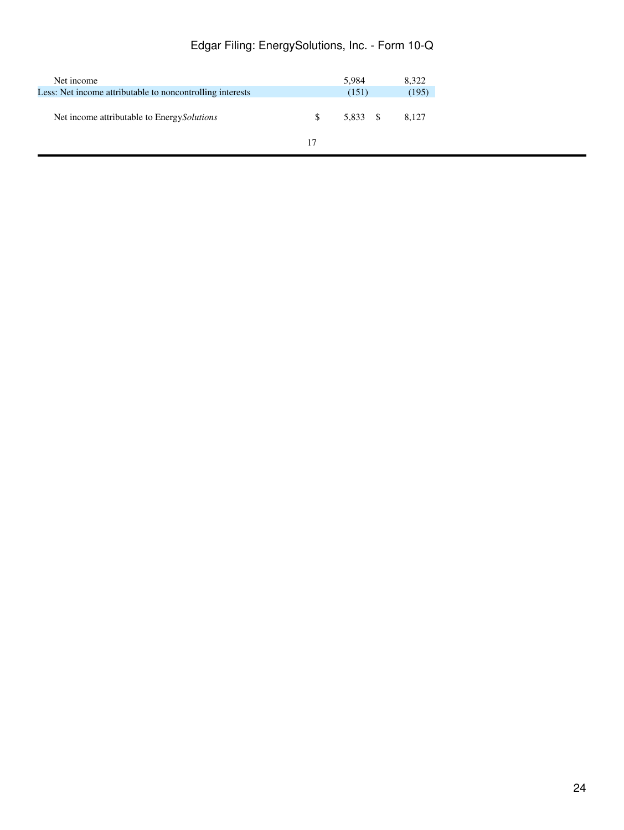# Edgar Filing: EnergySolutions, Inc. - Form 10-Q

| Net income                                                |     | 5.984    | 8.322 |
|-----------------------------------------------------------|-----|----------|-------|
| Less: Net income attributable to noncontrolling interests |     | (151)    | (195) |
| Net income attributable to Energy Solutions               | \$. | 5.833 \$ | 8.127 |
|                                                           | 17  |          |       |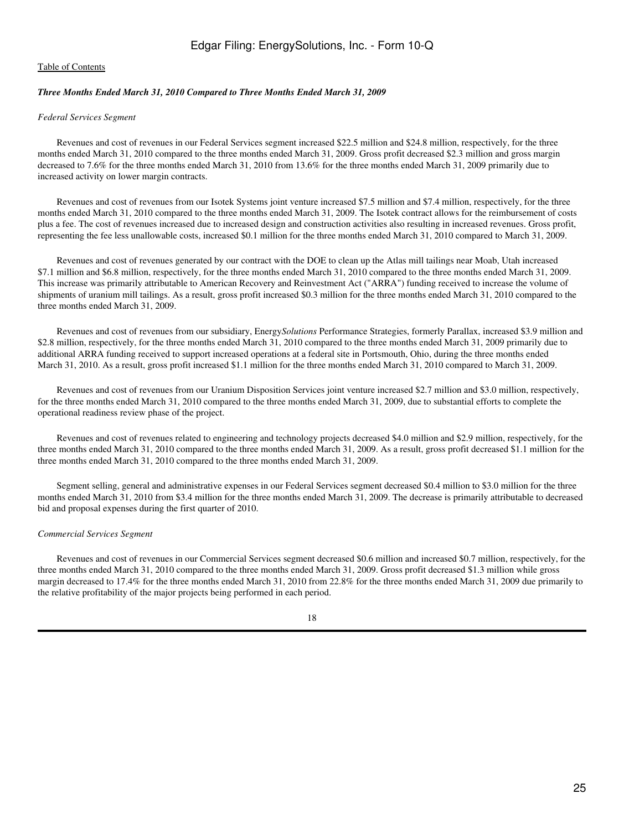## *Three Months Ended March 31, 2010 Compared to Three Months Ended March 31, 2009*

#### *Federal Services Segment*

 Revenues and cost of revenues in our Federal Services segment increased \$22.5 million and \$24.8 million, respectively, for the three months ended March 31, 2010 compared to the three months ended March 31, 2009. Gross profit decreased \$2.3 million and gross margin decreased to 7.6% for the three months ended March 31, 2010 from 13.6% for the three months ended March 31, 2009 primarily due to increased activity on lower margin contracts.

 Revenues and cost of revenues from our Isotek Systems joint venture increased \$7.5 million and \$7.4 million, respectively, for the three months ended March 31, 2010 compared to the three months ended March 31, 2009. The Isotek contract allows for the reimbursement of costs plus a fee. The cost of revenues increased due to increased design and construction activities also resulting in increased revenues. Gross profit, representing the fee less unallowable costs, increased \$0.1 million for the three months ended March 31, 2010 compared to March 31, 2009.

 Revenues and cost of revenues generated by our contract with the DOE to clean up the Atlas mill tailings near Moab, Utah increased \$7.1 million and \$6.8 million, respectively, for the three months ended March 31, 2010 compared to the three months ended March 31, 2009. This increase was primarily attributable to American Recovery and Reinvestment Act ("ARRA") funding received to increase the volume of shipments of uranium mill tailings. As a result, gross profit increased \$0.3 million for the three months ended March 31, 2010 compared to the three months ended March 31, 2009.

 Revenues and cost of revenues from our subsidiary, Energy*Solutions* Performance Strategies, formerly Parallax, increased \$3.9 million and \$2.8 million, respectively, for the three months ended March 31, 2010 compared to the three months ended March 31, 2009 primarily due to additional ARRA funding received to support increased operations at a federal site in Portsmouth, Ohio, during the three months ended March 31, 2010. As a result, gross profit increased \$1.1 million for the three months ended March 31, 2010 compared to March 31, 2009.

 Revenues and cost of revenues from our Uranium Disposition Services joint venture increased \$2.7 million and \$3.0 million, respectively, for the three months ended March 31, 2010 compared to the three months ended March 31, 2009, due to substantial efforts to complete the operational readiness review phase of the project.

 Revenues and cost of revenues related to engineering and technology projects decreased \$4.0 million and \$2.9 million, respectively, for the three months ended March 31, 2010 compared to the three months ended March 31, 2009. As a result, gross profit decreased \$1.1 million for the three months ended March 31, 2010 compared to the three months ended March 31, 2009.

 Segment selling, general and administrative expenses in our Federal Services segment decreased \$0.4 million to \$3.0 million for the three months ended March 31, 2010 from \$3.4 million for the three months ended March 31, 2009. The decrease is primarily attributable to decreased bid and proposal expenses during the first quarter of 2010.

#### *Commercial Services Segment*

 Revenues and cost of revenues in our Commercial Services segment decreased \$0.6 million and increased \$0.7 million, respectively, for the three months ended March 31, 2010 compared to the three months ended March 31, 2009. Gross profit decreased \$1.3 million while gross margin decreased to 17.4% for the three months ended March 31, 2010 from 22.8% for the three months ended March 31, 2009 due primarily to the relative profitability of the major projects being performed in each period.

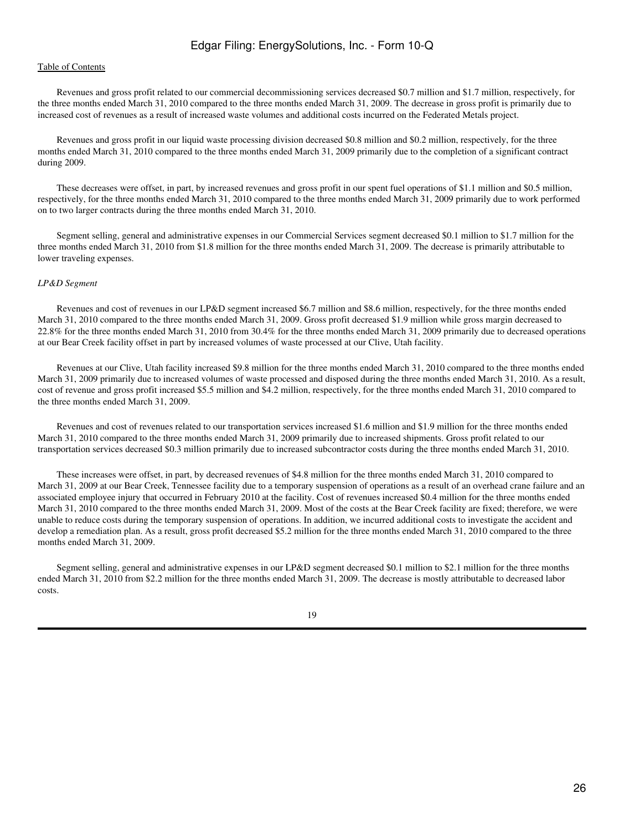# Edgar Filing: EnergySolutions, Inc. - Form 10-Q

## [Table of Contents](#page-2-1)

 Revenues and gross profit related to our commercial decommissioning services decreased \$0.7 million and \$1.7 million, respectively, for the three months ended March 31, 2010 compared to the three months ended March 31, 2009. The decrease in gross profit is primarily due to increased cost of revenues as a result of increased waste volumes and additional costs incurred on the Federated Metals project.

 Revenues and gross profit in our liquid waste processing division decreased \$0.8 million and \$0.2 million, respectively, for the three months ended March 31, 2010 compared to the three months ended March 31, 2009 primarily due to the completion of a significant contract during 2009.

 These decreases were offset, in part, by increased revenues and gross profit in our spent fuel operations of \$1.1 million and \$0.5 million, respectively, for the three months ended March 31, 2010 compared to the three months ended March 31, 2009 primarily due to work performed on to two larger contracts during the three months ended March 31, 2010.

 Segment selling, general and administrative expenses in our Commercial Services segment decreased \$0.1 million to \$1.7 million for the three months ended March 31, 2010 from \$1.8 million for the three months ended March 31, 2009. The decrease is primarily attributable to lower traveling expenses.

#### *LP&D Segment*

 Revenues and cost of revenues in our LP&D segment increased \$6.7 million and \$8.6 million, respectively, for the three months ended March 31, 2010 compared to the three months ended March 31, 2009. Gross profit decreased \$1.9 million while gross margin decreased to 22.8% for the three months ended March 31, 2010 from 30.4% for the three months ended March 31, 2009 primarily due to decreased operations at our Bear Creek facility offset in part by increased volumes of waste processed at our Clive, Utah facility.

 Revenues at our Clive, Utah facility increased \$9.8 million for the three months ended March 31, 2010 compared to the three months ended March 31, 2009 primarily due to increased volumes of waste processed and disposed during the three months ended March 31, 2010. As a result, cost of revenue and gross profit increased \$5.5 million and \$4.2 million, respectively, for the three months ended March 31, 2010 compared to the three months ended March 31, 2009.

 Revenues and cost of revenues related to our transportation services increased \$1.6 million and \$1.9 million for the three months ended March 31, 2010 compared to the three months ended March 31, 2009 primarily due to increased shipments. Gross profit related to our transportation services decreased \$0.3 million primarily due to increased subcontractor costs during the three months ended March 31, 2010.

 These increases were offset, in part, by decreased revenues of \$4.8 million for the three months ended March 31, 2010 compared to March 31, 2009 at our Bear Creek, Tennessee facility due to a temporary suspension of operations as a result of an overhead crane failure and an associated employee injury that occurred in February 2010 at the facility. Cost of revenues increased \$0.4 million for the three months ended March 31, 2010 compared to the three months ended March 31, 2009. Most of the costs at the Bear Creek facility are fixed; therefore, we were unable to reduce costs during the temporary suspension of operations. In addition, we incurred additional costs to investigate the accident and develop a remediation plan. As a result, gross profit decreased \$5.2 million for the three months ended March 31, 2010 compared to the three months ended March 31, 2009.

 Segment selling, general and administrative expenses in our LP&D segment decreased \$0.1 million to \$2.1 million for the three months ended March 31, 2010 from \$2.2 million for the three months ended March 31, 2009. The decrease is mostly attributable to decreased labor costs.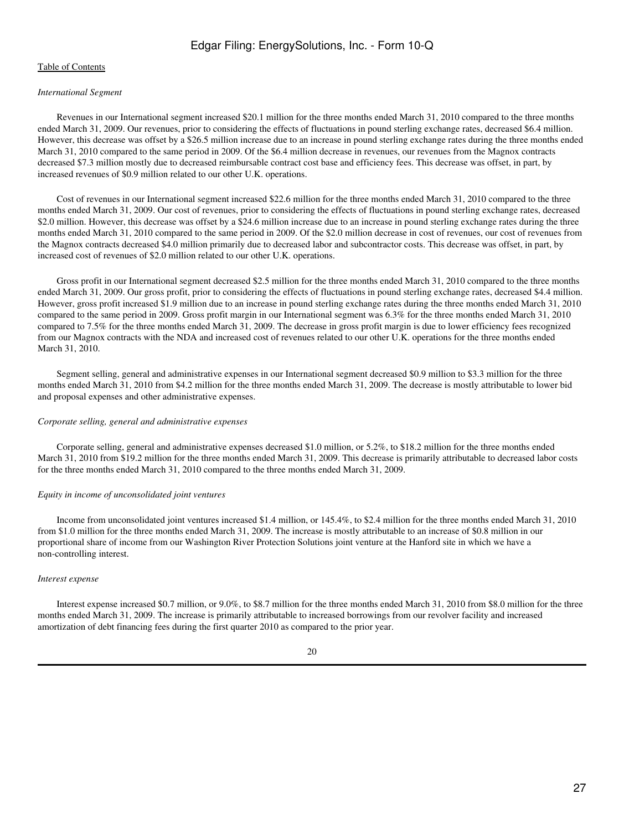# Edgar Filing: EnergySolutions, Inc. - Form 10-Q

## [Table of Contents](#page-2-1)

#### *International Segment*

 Revenues in our International segment increased \$20.1 million for the three months ended March 31, 2010 compared to the three months ended March 31, 2009. Our revenues, prior to considering the effects of fluctuations in pound sterling exchange rates, decreased \$6.4 million. However, this decrease was offset by a \$26.5 million increase due to an increase in pound sterling exchange rates during the three months ended March 31, 2010 compared to the same period in 2009. Of the \$6.4 million decrease in revenues, our revenues from the Magnox contracts decreased \$7.3 million mostly due to decreased reimbursable contract cost base and efficiency fees. This decrease was offset, in part, by increased revenues of \$0.9 million related to our other U.K. operations.

 Cost of revenues in our International segment increased \$22.6 million for the three months ended March 31, 2010 compared to the three months ended March 31, 2009. Our cost of revenues, prior to considering the effects of fluctuations in pound sterling exchange rates, decreased \$2.0 million. However, this decrease was offset by a \$24.6 million increase due to an increase in pound sterling exchange rates during the three months ended March 31, 2010 compared to the same period in 2009. Of the \$2.0 million decrease in cost of revenues, our cost of revenues from the Magnox contracts decreased \$4.0 million primarily due to decreased labor and subcontractor costs. This decrease was offset, in part, by increased cost of revenues of \$2.0 million related to our other U.K. operations.

 Gross profit in our International segment decreased \$2.5 million for the three months ended March 31, 2010 compared to the three months ended March 31, 2009. Our gross profit, prior to considering the effects of fluctuations in pound sterling exchange rates, decreased \$4.4 million. However, gross profit increased \$1.9 million due to an increase in pound sterling exchange rates during the three months ended March 31, 2010 compared to the same period in 2009. Gross profit margin in our International segment was 6.3% for the three months ended March 31, 2010 compared to 7.5% for the three months ended March 31, 2009. The decrease in gross profit margin is due to lower efficiency fees recognized from our Magnox contracts with the NDA and increased cost of revenues related to our other U.K. operations for the three months ended March 31, 2010.

 Segment selling, general and administrative expenses in our International segment decreased \$0.9 million to \$3.3 million for the three months ended March 31, 2010 from \$4.2 million for the three months ended March 31, 2009. The decrease is mostly attributable to lower bid and proposal expenses and other administrative expenses.

#### *Corporate selling, general and administrative expenses*

 Corporate selling, general and administrative expenses decreased \$1.0 million, or 5.2%, to \$18.2 million for the three months ended March 31, 2010 from \$19.2 million for the three months ended March 31, 2009. This decrease is primarily attributable to decreased labor costs for the three months ended March 31, 2010 compared to the three months ended March 31, 2009.

#### *Equity in income of unconsolidated joint ventures*

 Income from unconsolidated joint ventures increased \$1.4 million, or 145.4%, to \$2.4 million for the three months ended March 31, 2010 from \$1.0 million for the three months ended March 31, 2009. The increase is mostly attributable to an increase of \$0.8 million in our proportional share of income from our Washington River Protection Solutions joint venture at the Hanford site in which we have a non-controlling interest.

#### *Interest expense*

 Interest expense increased \$0.7 million, or 9.0%, to \$8.7 million for the three months ended March 31, 2010 from \$8.0 million for the three months ended March 31, 2009. The increase is primarily attributable to increased borrowings from our revolver facility and increased amortization of debt financing fees during the first quarter 2010 as compared to the prior year.

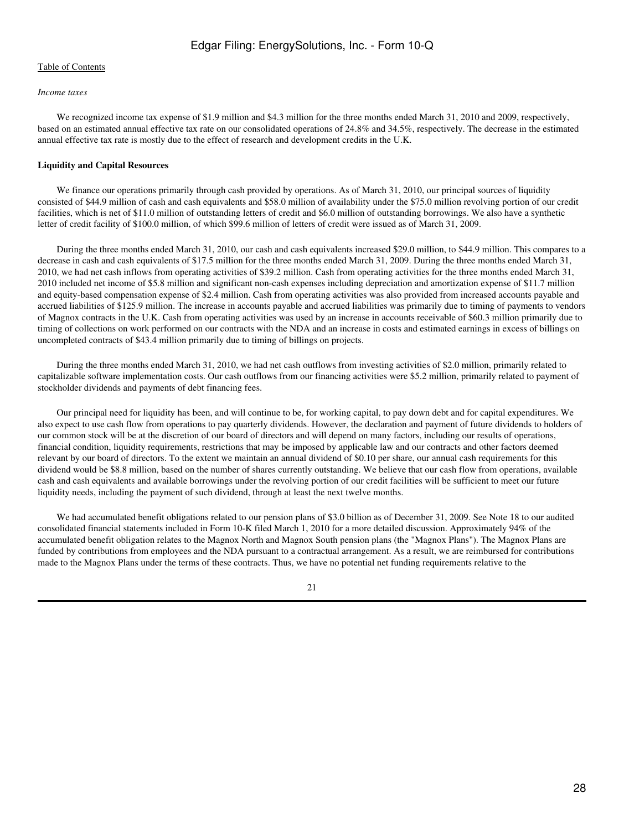#### *Income taxes*

We recognized income tax expense of \$1.9 million and \$4.3 million for the three months ended March 31, 2010 and 2009, respectively, based on an estimated annual effective tax rate on our consolidated operations of 24.8% and 34.5%, respectively. The decrease in the estimated annual effective tax rate is mostly due to the effect of research and development credits in the U.K.

## **Liquidity and Capital Resources**

We finance our operations primarily through cash provided by operations. As of March 31, 2010, our principal sources of liquidity consisted of \$44.9 million of cash and cash equivalents and \$58.0 million of availability under the \$75.0 million revolving portion of our credit facilities, which is net of \$11.0 million of outstanding letters of credit and \$6.0 million of outstanding borrowings. We also have a synthetic letter of credit facility of \$100.0 million, of which \$99.6 million of letters of credit were issued as of March 31, 2009.

 During the three months ended March 31, 2010, our cash and cash equivalents increased \$29.0 million, to \$44.9 million. This compares to a decrease in cash and cash equivalents of \$17.5 million for the three months ended March 31, 2009. During the three months ended March 31, 2010, we had net cash inflows from operating activities of \$39.2 million. Cash from operating activities for the three months ended March 31, 2010 included net income of \$5.8 million and significant non-cash expenses including depreciation and amortization expense of \$11.7 million and equity-based compensation expense of \$2.4 million. Cash from operating activities was also provided from increased accounts payable and accrued liabilities of \$125.9 million. The increase in accounts payable and accrued liabilities was primarily due to timing of payments to vendors of Magnox contracts in the U.K. Cash from operating activities was used by an increase in accounts receivable of \$60.3 million primarily due to timing of collections on work performed on our contracts with the NDA and an increase in costs and estimated earnings in excess of billings on uncompleted contracts of \$43.4 million primarily due to timing of billings on projects.

 During the three months ended March 31, 2010, we had net cash outflows from investing activities of \$2.0 million, primarily related to capitalizable software implementation costs. Our cash outflows from our financing activities were \$5.2 million, primarily related to payment of stockholder dividends and payments of debt financing fees.

 Our principal need for liquidity has been, and will continue to be, for working capital, to pay down debt and for capital expenditures. We also expect to use cash flow from operations to pay quarterly dividends. However, the declaration and payment of future dividends to holders of our common stock will be at the discretion of our board of directors and will depend on many factors, including our results of operations, financial condition, liquidity requirements, restrictions that may be imposed by applicable law and our contracts and other factors deemed relevant by our board of directors. To the extent we maintain an annual dividend of \$0.10 per share, our annual cash requirements for this dividend would be \$8.8 million, based on the number of shares currently outstanding. We believe that our cash flow from operations, available cash and cash equivalents and available borrowings under the revolving portion of our credit facilities will be sufficient to meet our future liquidity needs, including the payment of such dividend, through at least the next twelve months.

We had accumulated benefit obligations related to our pension plans of \$3.0 billion as of December 31, 2009. See Note 18 to our audited consolidated financial statements included in Form 10-K filed March 1, 2010 for a more detailed discussion. Approximately 94% of the accumulated benefit obligation relates to the Magnox North and Magnox South pension plans (the "Magnox Plans"). The Magnox Plans are funded by contributions from employees and the NDA pursuant to a contractual arrangement. As a result, we are reimbursed for contributions made to the Magnox Plans under the terms of these contracts. Thus, we have no potential net funding requirements relative to the

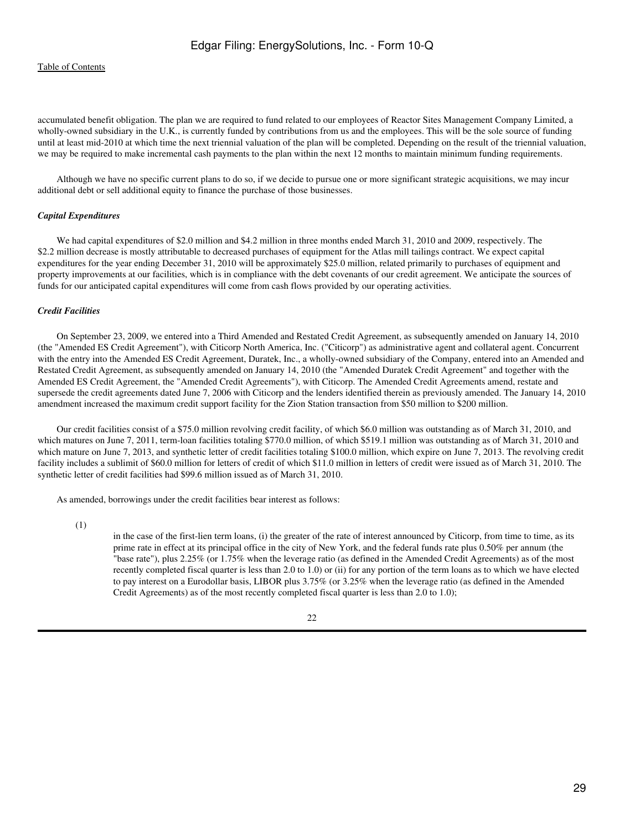accumulated benefit obligation. The plan we are required to fund related to our employees of Reactor Sites Management Company Limited, a wholly-owned subsidiary in the U.K., is currently funded by contributions from us and the employees. This will be the sole source of funding until at least mid-2010 at which time the next triennial valuation of the plan will be completed. Depending on the result of the triennial valuation, we may be required to make incremental cash payments to the plan within the next 12 months to maintain minimum funding requirements.

 Although we have no specific current plans to do so, if we decide to pursue one or more significant strategic acquisitions, we may incur additional debt or sell additional equity to finance the purchase of those businesses.

#### *Capital Expenditures*

We had capital expenditures of \$2.0 million and \$4.2 million in three months ended March 31, 2010 and 2009, respectively. The \$2.2 million decrease is mostly attributable to decreased purchases of equipment for the Atlas mill tailings contract. We expect capital expenditures for the year ending December 31, 2010 will be approximately \$25.0 million, related primarily to purchases of equipment and property improvements at our facilities, which is in compliance with the debt covenants of our credit agreement. We anticipate the sources of funds for our anticipated capital expenditures will come from cash flows provided by our operating activities.

## *Credit Facilities*

 On September 23, 2009, we entered into a Third Amended and Restated Credit Agreement, as subsequently amended on January 14, 2010 (the "Amended ES Credit Agreement"), with Citicorp North America, Inc. ("Citicorp") as administrative agent and collateral agent. Concurrent with the entry into the Amended ES Credit Agreement, Duratek, Inc., a wholly-owned subsidiary of the Company, entered into an Amended and Restated Credit Agreement, as subsequently amended on January 14, 2010 (the "Amended Duratek Credit Agreement" and together with the Amended ES Credit Agreement, the "Amended Credit Agreements"), with Citicorp. The Amended Credit Agreements amend, restate and supersede the credit agreements dated June 7, 2006 with Citicorp and the lenders identified therein as previously amended. The January 14, 2010 amendment increased the maximum credit support facility for the Zion Station transaction from \$50 million to \$200 million.

 Our credit facilities consist of a \$75.0 million revolving credit facility, of which \$6.0 million was outstanding as of March 31, 2010, and which matures on June 7, 2011, term-loan facilities totaling \$770.0 million, of which \$519.1 million was outstanding as of March 31, 2010 and which mature on June 7, 2013, and synthetic letter of credit facilities totaling \$100.0 million, which expire on June 7, 2013. The revolving credit facility includes a sublimit of \$60.0 million for letters of credit of which \$11.0 million in letters of credit were issued as of March 31, 2010. The synthetic letter of credit facilities had \$99.6 million issued as of March 31, 2010.

As amended, borrowings under the credit facilities bear interest as follows:

(1)

in the case of the first-lien term loans, (i) the greater of the rate of interest announced by Citicorp, from time to time, as its prime rate in effect at its principal office in the city of New York, and the federal funds rate plus 0.50% per annum (the "base rate"), plus 2.25% (or 1.75% when the leverage ratio (as defined in the Amended Credit Agreements) as of the most recently completed fiscal quarter is less than 2.0 to 1.0) or (ii) for any portion of the term loans as to which we have elected to pay interest on a Eurodollar basis, LIBOR plus 3.75% (or 3.25% when the leverage ratio (as defined in the Amended Credit Agreements) as of the most recently completed fiscal quarter is less than 2.0 to 1.0);

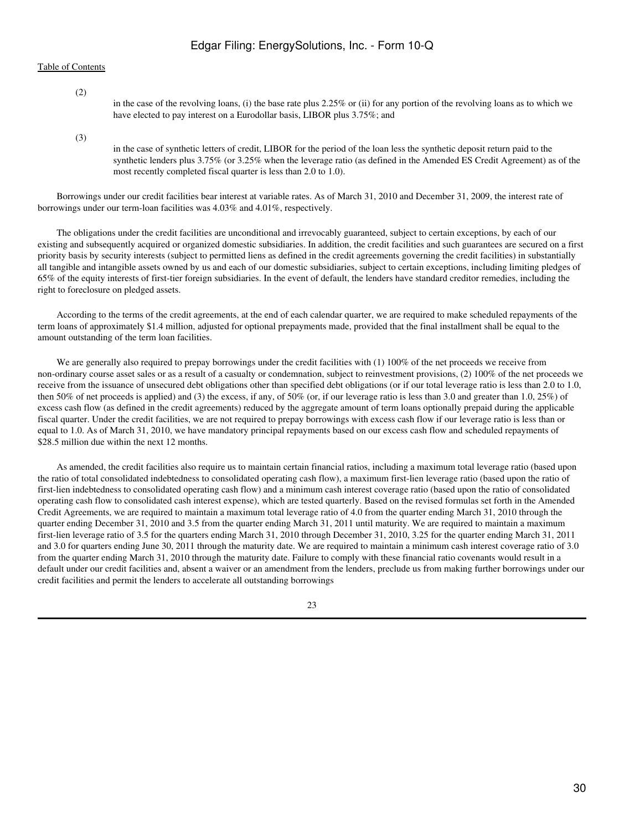(2)

in the case of the revolving loans, (i) the base rate plus 2.25% or (ii) for any portion of the revolving loans as to which we have elected to pay interest on a Eurodollar basis, LIBOR plus 3.75%; and

(3)

in the case of synthetic letters of credit, LIBOR for the period of the loan less the synthetic deposit return paid to the synthetic lenders plus 3.75% (or 3.25% when the leverage ratio (as defined in the Amended ES Credit Agreement) as of the most recently completed fiscal quarter is less than 2.0 to 1.0).

 Borrowings under our credit facilities bear interest at variable rates. As of March 31, 2010 and December 31, 2009, the interest rate of borrowings under our term-loan facilities was 4.03% and 4.01%, respectively.

 The obligations under the credit facilities are unconditional and irrevocably guaranteed, subject to certain exceptions, by each of our existing and subsequently acquired or organized domestic subsidiaries. In addition, the credit facilities and such guarantees are secured on a first priority basis by security interests (subject to permitted liens as defined in the credit agreements governing the credit facilities) in substantially all tangible and intangible assets owned by us and each of our domestic subsidiaries, subject to certain exceptions, including limiting pledges of 65% of the equity interests of first-tier foreign subsidiaries. In the event of default, the lenders have standard creditor remedies, including the right to foreclosure on pledged assets.

 According to the terms of the credit agreements, at the end of each calendar quarter, we are required to make scheduled repayments of the term loans of approximately \$1.4 million, adjusted for optional prepayments made, provided that the final installment shall be equal to the amount outstanding of the term loan facilities.

We are generally also required to prepay borrowings under the credit facilities with (1) 100% of the net proceeds we receive from non-ordinary course asset sales or as a result of a casualty or condemnation, subject to reinvestment provisions, (2) 100% of the net proceeds we receive from the issuance of unsecured debt obligations other than specified debt obligations (or if our total leverage ratio is less than 2.0 to 1.0, then 50% of net proceeds is applied) and (3) the excess, if any, of 50% (or, if our leverage ratio is less than 3.0 and greater than 1.0, 25%) of excess cash flow (as defined in the credit agreements) reduced by the aggregate amount of term loans optionally prepaid during the applicable fiscal quarter. Under the credit facilities, we are not required to prepay borrowings with excess cash flow if our leverage ratio is less than or equal to 1.0. As of March 31, 2010, we have mandatory principal repayments based on our excess cash flow and scheduled repayments of \$28.5 million due within the next 12 months.

 As amended, the credit facilities also require us to maintain certain financial ratios, including a maximum total leverage ratio (based upon the ratio of total consolidated indebtedness to consolidated operating cash flow), a maximum first-lien leverage ratio (based upon the ratio of first-lien indebtedness to consolidated operating cash flow) and a minimum cash interest coverage ratio (based upon the ratio of consolidated operating cash flow to consolidated cash interest expense), which are tested quarterly. Based on the revised formulas set forth in the Amended Credit Agreements, we are required to maintain a maximum total leverage ratio of 4.0 from the quarter ending March 31, 2010 through the quarter ending December 31, 2010 and 3.5 from the quarter ending March 31, 2011 until maturity. We are required to maintain a maximum first-lien leverage ratio of 3.5 for the quarters ending March 31, 2010 through December 31, 2010, 3.25 for the quarter ending March 31, 2011 and 3.0 for quarters ending June 30, 2011 through the maturity date. We are required to maintain a minimum cash interest coverage ratio of 3.0 from the quarter ending March 31, 2010 through the maturity date. Failure to comply with these financial ratio covenants would result in a default under our credit facilities and, absent a waiver or an amendment from the lenders, preclude us from making further borrowings under our credit facilities and permit the lenders to accelerate all outstanding borrowings

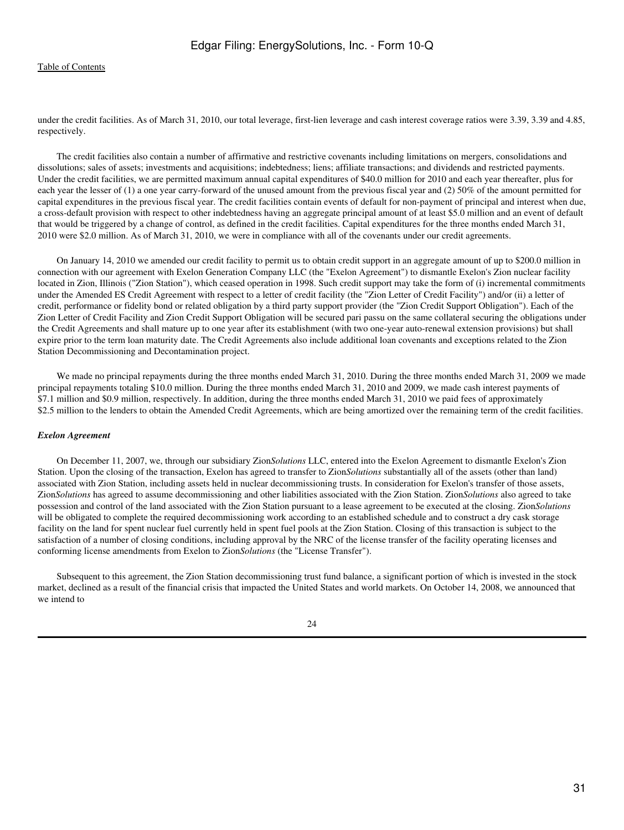under the credit facilities. As of March 31, 2010, our total leverage, first-lien leverage and cash interest coverage ratios were 3.39, 3.39 and 4.85, respectively.

 The credit facilities also contain a number of affirmative and restrictive covenants including limitations on mergers, consolidations and dissolutions; sales of assets; investments and acquisitions; indebtedness; liens; affiliate transactions; and dividends and restricted payments. Under the credit facilities, we are permitted maximum annual capital expenditures of \$40.0 million for 2010 and each year thereafter, plus for each year the lesser of (1) a one year carry-forward of the unused amount from the previous fiscal year and (2) 50% of the amount permitted for capital expenditures in the previous fiscal year. The credit facilities contain events of default for non-payment of principal and interest when due, a cross-default provision with respect to other indebtedness having an aggregate principal amount of at least \$5.0 million and an event of default that would be triggered by a change of control, as defined in the credit facilities. Capital expenditures for the three months ended March 31, 2010 were \$2.0 million. As of March 31, 2010, we were in compliance with all of the covenants under our credit agreements.

 On January 14, 2010 we amended our credit facility to permit us to obtain credit support in an aggregate amount of up to \$200.0 million in connection with our agreement with Exelon Generation Company LLC (the "Exelon Agreement") to dismantle Exelon's Zion nuclear facility located in Zion, Illinois ("Zion Station"), which ceased operation in 1998. Such credit support may take the form of (i) incremental commitments under the Amended ES Credit Agreement with respect to a letter of credit facility (the "Zion Letter of Credit Facility") and/or (ii) a letter of credit, performance or fidelity bond or related obligation by a third party support provider (the "Zion Credit Support Obligation"). Each of the Zion Letter of Credit Facility and Zion Credit Support Obligation will be secured pari passu on the same collateral securing the obligations under the Credit Agreements and shall mature up to one year after its establishment (with two one-year auto-renewal extension provisions) but shall expire prior to the term loan maturity date. The Credit Agreements also include additional loan covenants and exceptions related to the Zion Station Decommissioning and Decontamination project.

We made no principal repayments during the three months ended March 31, 2010. During the three months ended March 31, 2009 we made principal repayments totaling \$10.0 million. During the three months ended March 31, 2010 and 2009, we made cash interest payments of \$7.1 million and \$0.9 million, respectively. In addition, during the three months ended March 31, 2010 we paid fees of approximately \$2.5 million to the lenders to obtain the Amended Credit Agreements, which are being amortized over the remaining term of the credit facilities.

#### *Exelon Agreement*

 On December 11, 2007, we, through our subsidiary Zion*Solutions* LLC, entered into the Exelon Agreement to dismantle Exelon's Zion Station. Upon the closing of the transaction, Exelon has agreed to transfer to Zion*Solutions* substantially all of the assets (other than land) associated with Zion Station, including assets held in nuclear decommissioning trusts. In consideration for Exelon's transfer of those assets, Zion*Solutions* has agreed to assume decommissioning and other liabilities associated with the Zion Station. Zion*Solutions* also agreed to take possession and control of the land associated with the Zion Station pursuant to a lease agreement to be executed at the closing. Zion*Solutions* will be obligated to complete the required decommissioning work according to an established schedule and to construct a dry cask storage facility on the land for spent nuclear fuel currently held in spent fuel pools at the Zion Station. Closing of this transaction is subject to the satisfaction of a number of closing conditions, including approval by the NRC of the license transfer of the facility operating licenses and conforming license amendments from Exelon to Zion*Solutions* (the "License Transfer").

 Subsequent to this agreement, the Zion Station decommissioning trust fund balance, a significant portion of which is invested in the stock market, declined as a result of the financial crisis that impacted the United States and world markets. On October 14, 2008, we announced that we intend to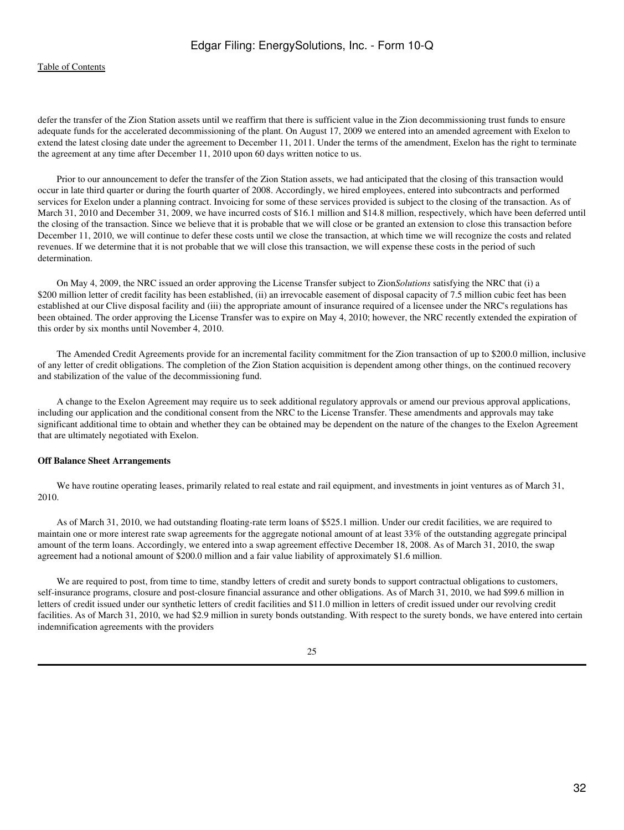defer the transfer of the Zion Station assets until we reaffirm that there is sufficient value in the Zion decommissioning trust funds to ensure adequate funds for the accelerated decommissioning of the plant. On August 17, 2009 we entered into an amended agreement with Exelon to extend the latest closing date under the agreement to December 11, 2011. Under the terms of the amendment, Exelon has the right to terminate the agreement at any time after December 11, 2010 upon 60 days written notice to us.

 Prior to our announcement to defer the transfer of the Zion Station assets, we had anticipated that the closing of this transaction would occur in late third quarter or during the fourth quarter of 2008. Accordingly, we hired employees, entered into subcontracts and performed services for Exelon under a planning contract. Invoicing for some of these services provided is subject to the closing of the transaction. As of March 31, 2010 and December 31, 2009, we have incurred costs of \$16.1 million and \$14.8 million, respectively, which have been deferred until the closing of the transaction. Since we believe that it is probable that we will close or be granted an extension to close this transaction before December 11, 2010, we will continue to defer these costs until we close the transaction, at which time we will recognize the costs and related revenues. If we determine that it is not probable that we will close this transaction, we will expense these costs in the period of such determination.

 On May 4, 2009, the NRC issued an order approving the License Transfer subject to Zion*Solutions* satisfying the NRC that (i) a \$200 million letter of credit facility has been established, (ii) an irrevocable easement of disposal capacity of 7.5 million cubic feet has been established at our Clive disposal facility and (iii) the appropriate amount of insurance required of a licensee under the NRC's regulations has been obtained. The order approving the License Transfer was to expire on May 4, 2010; however, the NRC recently extended the expiration of this order by six months until November 4, 2010.

 The Amended Credit Agreements provide for an incremental facility commitment for the Zion transaction of up to \$200.0 million, inclusive of any letter of credit obligations. The completion of the Zion Station acquisition is dependent among other things, on the continued recovery and stabilization of the value of the decommissioning fund.

 A change to the Exelon Agreement may require us to seek additional regulatory approvals or amend our previous approval applications, including our application and the conditional consent from the NRC to the License Transfer. These amendments and approvals may take significant additional time to obtain and whether they can be obtained may be dependent on the nature of the changes to the Exelon Agreement that are ultimately negotiated with Exelon.

#### **Off Balance Sheet Arrangements**

We have routine operating leases, primarily related to real estate and rail equipment, and investments in joint ventures as of March 31, 2010.

 As of March 31, 2010, we had outstanding floating-rate term loans of \$525.1 million. Under our credit facilities, we are required to maintain one or more interest rate swap agreements for the aggregate notional amount of at least 33% of the outstanding aggregate principal amount of the term loans. Accordingly, we entered into a swap agreement effective December 18, 2008. As of March 31, 2010, the swap agreement had a notional amount of \$200.0 million and a fair value liability of approximately \$1.6 million.

 We are required to post, from time to time, standby letters of credit and surety bonds to support contractual obligations to customers, self-insurance programs, closure and post-closure financial assurance and other obligations. As of March 31, 2010, we had \$99.6 million in letters of credit issued under our synthetic letters of credit facilities and \$11.0 million in letters of credit issued under our revolving credit facilities. As of March 31, 2010, we had \$2.9 million in surety bonds outstanding. With respect to the surety bonds, we have entered into certain indemnification agreements with the providers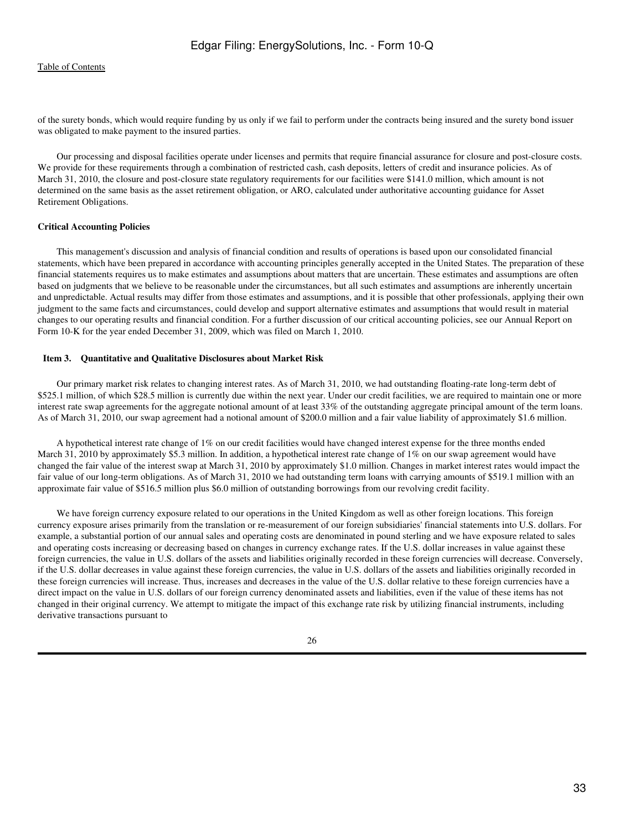of the surety bonds, which would require funding by us only if we fail to perform under the contracts being insured and the surety bond issuer was obligated to make payment to the insured parties.

 Our processing and disposal facilities operate under licenses and permits that require financial assurance for closure and post-closure costs. We provide for these requirements through a combination of restricted cash, cash deposits, letters of credit and insurance policies. As of March 31, 2010, the closure and post-closure state regulatory requirements for our facilities were \$141.0 million, which amount is not determined on the same basis as the asset retirement obligation, or ARO, calculated under authoritative accounting guidance for Asset Retirement Obligations.

#### **Critical Accounting Policies**

 This management's discussion and analysis of financial condition and results of operations is based upon our consolidated financial statements, which have been prepared in accordance with accounting principles generally accepted in the United States. The preparation of these financial statements requires us to make estimates and assumptions about matters that are uncertain. These estimates and assumptions are often based on judgments that we believe to be reasonable under the circumstances, but all such estimates and assumptions are inherently uncertain and unpredictable. Actual results may differ from those estimates and assumptions, and it is possible that other professionals, applying their own judgment to the same facts and circumstances, could develop and support alternative estimates and assumptions that would result in material changes to our operating results and financial condition. For a further discussion of our critical accounting policies, see our Annual Report on Form 10-K for the year ended December 31, 2009, which was filed on March 1, 2010.

#### <span id="page-32-0"></span> **Item 3. Quantitative and Qualitative Disclosures about Market Risk**

 Our primary market risk relates to changing interest rates. As of March 31, 2010, we had outstanding floating-rate long-term debt of \$525.1 million, of which \$28.5 million is currently due within the next year. Under our credit facilities, we are required to maintain one or more interest rate swap agreements for the aggregate notional amount of at least 33% of the outstanding aggregate principal amount of the term loans. As of March 31, 2010, our swap agreement had a notional amount of \$200.0 million and a fair value liability of approximately \$1.6 million.

 A hypothetical interest rate change of 1% on our credit facilities would have changed interest expense for the three months ended March 31, 2010 by approximately \$5.3 million. In addition, a hypothetical interest rate change of 1% on our swap agreement would have changed the fair value of the interest swap at March 31, 2010 by approximately \$1.0 million. Changes in market interest rates would impact the fair value of our long-term obligations. As of March 31, 2010 we had outstanding term loans with carrying amounts of \$519.1 million with an approximate fair value of \$516.5 million plus \$6.0 million of outstanding borrowings from our revolving credit facility.

 We have foreign currency exposure related to our operations in the United Kingdom as well as other foreign locations. This foreign currency exposure arises primarily from the translation or re-measurement of our foreign subsidiaries' financial statements into U.S. dollars. For example, a substantial portion of our annual sales and operating costs are denominated in pound sterling and we have exposure related to sales and operating costs increasing or decreasing based on changes in currency exchange rates. If the U.S. dollar increases in value against these foreign currencies, the value in U.S. dollars of the assets and liabilities originally recorded in these foreign currencies will decrease. Conversely, if the U.S. dollar decreases in value against these foreign currencies, the value in U.S. dollars of the assets and liabilities originally recorded in these foreign currencies will increase. Thus, increases and decreases in the value of the U.S. dollar relative to these foreign currencies have a direct impact on the value in U.S. dollars of our foreign currency denominated assets and liabilities, even if the value of these items has not changed in their original currency. We attempt to mitigate the impact of this exchange rate risk by utilizing financial instruments, including derivative transactions pursuant to

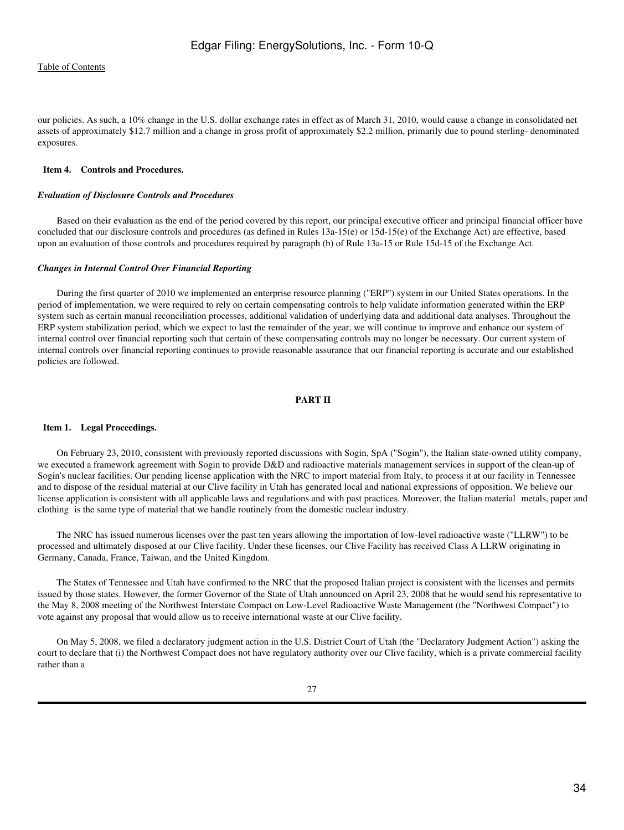our policies. As such, a 10% change in the U.S. dollar exchange rates in effect as of March 31, 2010, would cause a change in consolidated net assets of approximately \$12.7 million and a change in gross profit of approximately \$2.2 million, primarily due to pound sterling- denominated exposures.

## <span id="page-33-0"></span> **Item 4. Controls and Procedures.**

#### *Evaluation of Disclosure Controls and Procedures*

 Based on their evaluation as the end of the period covered by this report, our principal executive officer and principal financial officer have concluded that our disclosure controls and procedures (as defined in Rules 13a-15(e) or 15d-15(e) of the Exchange Act) are effective, based upon an evaluation of those controls and procedures required by paragraph (b) of Rule 13a-15 or Rule 15d-15 of the Exchange Act.

#### *Changes in Internal Control Over Financial Reporting*

 During the first quarter of 2010 we implemented an enterprise resource planning ("ERP") system in our United States operations. In the period of implementation, we were required to rely on certain compensating controls to help validate information generated within the ERP system such as certain manual reconciliation processes, additional validation of underlying data and additional data analyses. Throughout the ERP system stabilization period, which we expect to last the remainder of the year, we will continue to improve and enhance our system of internal control over financial reporting such that certain of these compensating controls may no longer be necessary. Our current system of internal controls over financial reporting continues to provide reasonable assurance that our financial reporting is accurate and our established policies are followed.

## **PART II**

#### <span id="page-33-2"></span><span id="page-33-1"></span> **Item 1. Legal Proceedings.**

 On February 23, 2010, consistent with previously reported discussions with Sogin, SpA ("Sogin"), the Italian state-owned utility company, we executed a framework agreement with Sogin to provide D&D and radioactive materials management services in support of the clean-up of Sogin's nuclear facilities. Our pending license application with the NRC to import material from Italy, to process it at our facility in Tennessee and to dispose of the residual material at our Clive facility in Utah has generated local and national expressions of opposition. We believe our license application is consistent with all applicable laws and regulations and with past practices. Moreover, the Italian material metals, paper and clothing is the same type of material that we handle routinely from the domestic nuclear industry.

 The NRC has issued numerous licenses over the past ten years allowing the importation of low-level radioactive waste ("LLRW") to be processed and ultimately disposed at our Clive facility. Under these licenses, our Clive Facility has received Class A LLRW originating in Germany, Canada, France, Taiwan, and the United Kingdom.

 The States of Tennessee and Utah have confirmed to the NRC that the proposed Italian project is consistent with the licenses and permits issued by those states. However, the former Governor of the State of Utah announced on April 23, 2008 that he would send his representative to the May 8, 2008 meeting of the Northwest Interstate Compact on Low-Level Radioactive Waste Management (the "Northwest Compact") to vote against any proposal that would allow us to receive international waste at our Clive facility.

 On May 5, 2008, we filed a declaratory judgment action in the U.S. District Court of Utah (the "Declaratory Judgment Action") asking the court to declare that (i) the Northwest Compact does not have regulatory authority over our Clive facility, which is a private commercial facility rather than a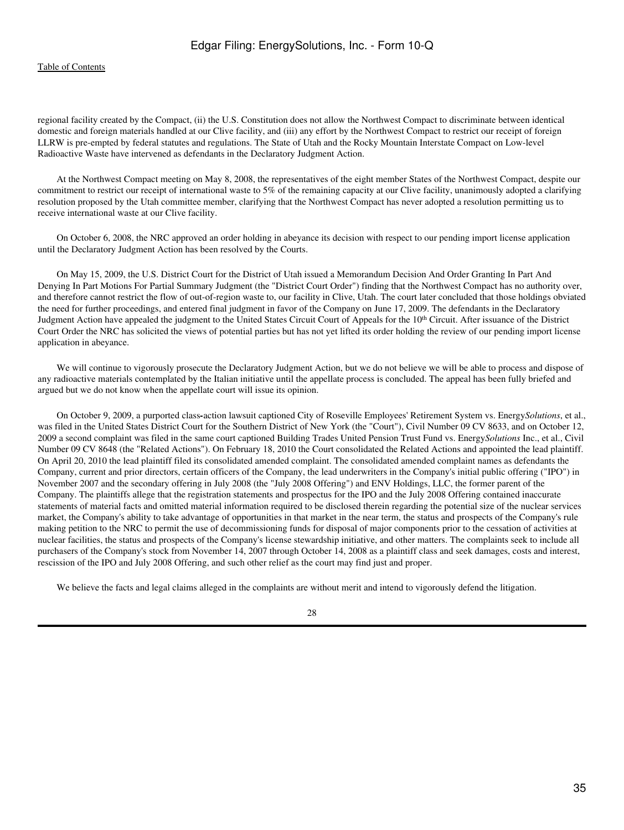regional facility created by the Compact, (ii) the U.S. Constitution does not allow the Northwest Compact to discriminate between identical domestic and foreign materials handled at our Clive facility, and (iii) any effort by the Northwest Compact to restrict our receipt of foreign LLRW is pre-empted by federal statutes and regulations. The State of Utah and the Rocky Mountain Interstate Compact on Low-level Radioactive Waste have intervened as defendants in the Declaratory Judgment Action.

 At the Northwest Compact meeting on May 8, 2008, the representatives of the eight member States of the Northwest Compact, despite our commitment to restrict our receipt of international waste to 5% of the remaining capacity at our Clive facility, unanimously adopted a clarifying resolution proposed by the Utah committee member, clarifying that the Northwest Compact has never adopted a resolution permitting us to receive international waste at our Clive facility.

 On October 6, 2008, the NRC approved an order holding in abeyance its decision with respect to our pending import license application until the Declaratory Judgment Action has been resolved by the Courts.

 On May 15, 2009, the U.S. District Court for the District of Utah issued a Memorandum Decision And Order Granting In Part And Denying In Part Motions For Partial Summary Judgment (the "District Court Order") finding that the Northwest Compact has no authority over, and therefore cannot restrict the flow of out-of-region waste to, our facility in Clive, Utah. The court later concluded that those holdings obviated the need for further proceedings, and entered final judgment in favor of the Company on June 17, 2009. The defendants in the Declaratory Judgment Action have appealed the judgment to the United States Circuit Court of Appeals for the 10<sup>th</sup> Circuit. After issuance of the District Court Order the NRC has solicited the views of potential parties but has not yet lifted its order holding the review of our pending import license application in abeyance.

 We will continue to vigorously prosecute the Declaratory Judgment Action, but we do not believe we will be able to process and dispose of any radioactive materials contemplated by the Italian initiative until the appellate process is concluded. The appeal has been fully briefed and argued but we do not know when the appellate court will issue its opinion.

 On October 9, 2009, a purported class*-*action lawsuit captioned City of Roseville Employees' Retirement System vs. Energy*Solutions*, et al., was filed in the United States District Court for the Southern District of New York (the "Court"), Civil Number 09 CV 8633, and on October 12, 2009 a second complaint was filed in the same court captioned Building Trades United Pension Trust Fund vs. Energy*Solutions* Inc., et al., Civil Number 09 CV 8648 (the "Related Actions"). On February 18, 2010 the Court consolidated the Related Actions and appointed the lead plaintiff. On April 20, 2010 the lead plaintiff filed its consolidated amended complaint. The consolidated amended complaint names as defendants the Company, current and prior directors, certain officers of the Company, the lead underwriters in the Company's initial public offering ("IPO") in November 2007 and the secondary offering in July 2008 (the "July 2008 Offering") and ENV Holdings, LLC, the former parent of the Company. The plaintiffs allege that the registration statements and prospectus for the IPO and the July 2008 Offering contained inaccurate statements of material facts and omitted material information required to be disclosed therein regarding the potential size of the nuclear services market, the Company's ability to take advantage of opportunities in that market in the near term, the status and prospects of the Company's rule making petition to the NRC to permit the use of decommissioning funds for disposal of major components prior to the cessation of activities at nuclear facilities, the status and prospects of the Company's license stewardship initiative, and other matters. The complaints seek to include all purchasers of the Company's stock from November 14, 2007 through October 14, 2008 as a plaintiff class and seek damages, costs and interest, rescission of the IPO and July 2008 Offering, and such other relief as the court may find just and proper.

We believe the facts and legal claims alleged in the complaints are without merit and intend to vigorously defend the litigation.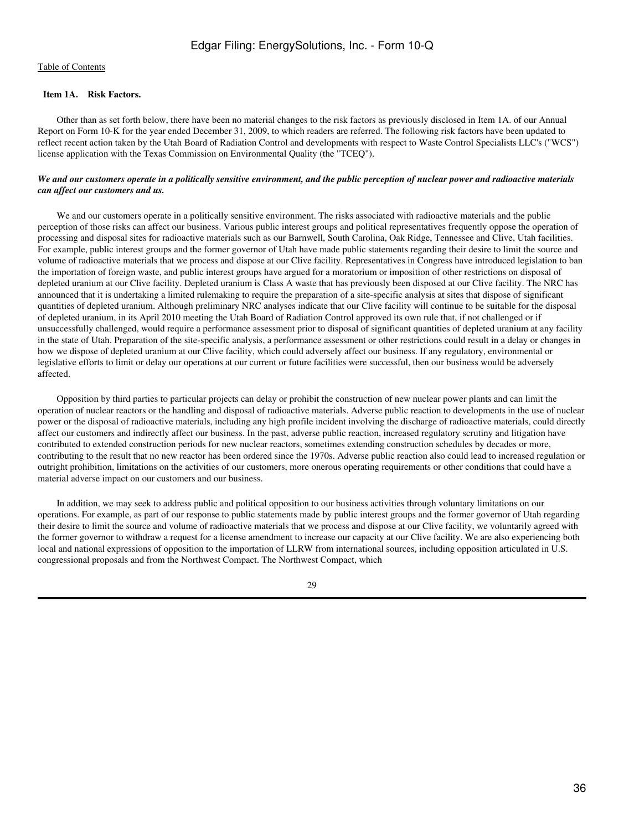## <span id="page-35-0"></span> **Item 1A. Risk Factors.**

 Other than as set forth below, there have been no material changes to the risk factors as previously disclosed in Item 1A. of our Annual Report on Form 10-K for the year ended December 31, 2009, to which readers are referred. The following risk factors have been updated to reflect recent action taken by the Utah Board of Radiation Control and developments with respect to Waste Control Specialists LLC's ("WCS") license application with the Texas Commission on Environmental Quality (the "TCEQ").

## *We and our customers operate in a politically sensitive environment, and the public perception of nuclear power and radioactive materials can affect our customers and us.*

We and our customers operate in a politically sensitive environment. The risks associated with radioactive materials and the public perception of those risks can affect our business. Various public interest groups and political representatives frequently oppose the operation of processing and disposal sites for radioactive materials such as our Barnwell, South Carolina, Oak Ridge, Tennessee and Clive, Utah facilities. For example, public interest groups and the former governor of Utah have made public statements regarding their desire to limit the source and volume of radioactive materials that we process and dispose at our Clive facility. Representatives in Congress have introduced legislation to ban the importation of foreign waste, and public interest groups have argued for a moratorium or imposition of other restrictions on disposal of depleted uranium at our Clive facility. Depleted uranium is Class A waste that has previously been disposed at our Clive facility. The NRC has announced that it is undertaking a limited rulemaking to require the preparation of a site-specific analysis at sites that dispose of significant quantities of depleted uranium. Although preliminary NRC analyses indicate that our Clive facility will continue to be suitable for the disposal of depleted uranium, in its April 2010 meeting the Utah Board of Radiation Control approved its own rule that, if not challenged or if unsuccessfully challenged, would require a performance assessment prior to disposal of significant quantities of depleted uranium at any facility in the state of Utah. Preparation of the site-specific analysis, a performance assessment or other restrictions could result in a delay or changes in how we dispose of depleted uranium at our Clive facility, which could adversely affect our business. If any regulatory, environmental or legislative efforts to limit or delay our operations at our current or future facilities were successful, then our business would be adversely affected.

 Opposition by third parties to particular projects can delay or prohibit the construction of new nuclear power plants and can limit the operation of nuclear reactors or the handling and disposal of radioactive materials. Adverse public reaction to developments in the use of nuclear power or the disposal of radioactive materials, including any high profile incident involving the discharge of radioactive materials, could directly affect our customers and indirectly affect our business. In the past, adverse public reaction, increased regulatory scrutiny and litigation have contributed to extended construction periods for new nuclear reactors, sometimes extending construction schedules by decades or more, contributing to the result that no new reactor has been ordered since the 1970s. Adverse public reaction also could lead to increased regulation or outright prohibition, limitations on the activities of our customers, more onerous operating requirements or other conditions that could have a material adverse impact on our customers and our business.

 In addition, we may seek to address public and political opposition to our business activities through voluntary limitations on our operations. For example, as part of our response to public statements made by public interest groups and the former governor of Utah regarding their desire to limit the source and volume of radioactive materials that we process and dispose at our Clive facility, we voluntarily agreed with the former governor to withdraw a request for a license amendment to increase our capacity at our Clive facility. We are also experiencing both local and national expressions of opposition to the importation of LLRW from international sources, including opposition articulated in U.S. congressional proposals and from the Northwest Compact. The Northwest Compact, which

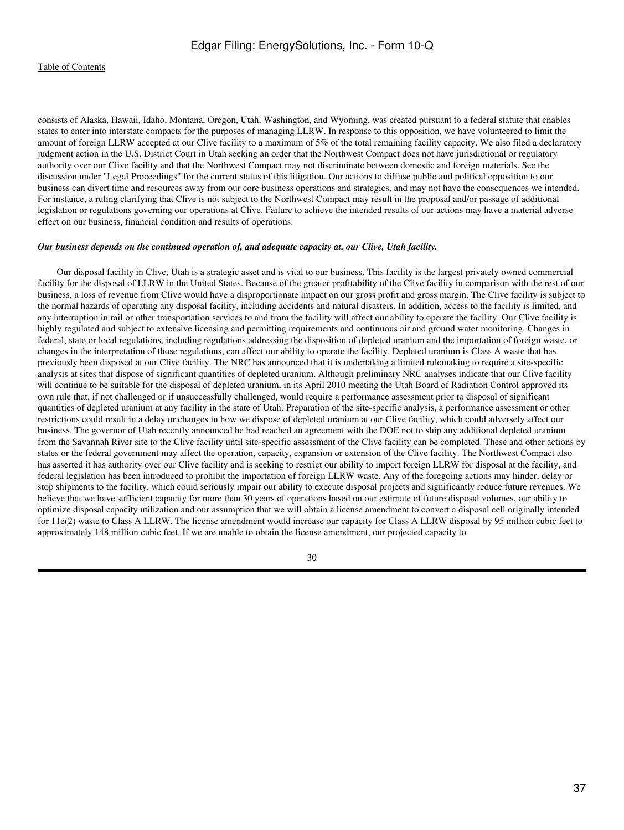consists of Alaska, Hawaii, Idaho, Montana, Oregon, Utah, Washington, and Wyoming, was created pursuant to a federal statute that enables states to enter into interstate compacts for the purposes of managing LLRW. In response to this opposition, we have volunteered to limit the amount of foreign LLRW accepted at our Clive facility to a maximum of 5% of the total remaining facility capacity. We also filed a declaratory judgment action in the U.S. District Court in Utah seeking an order that the Northwest Compact does not have jurisdictional or regulatory authority over our Clive facility and that the Northwest Compact may not discriminate between domestic and foreign materials. See the discussion under "Legal Proceedings" for the current status of this litigation. Our actions to diffuse public and political opposition to our business can divert time and resources away from our core business operations and strategies, and may not have the consequences we intended. For instance, a ruling clarifying that Clive is not subject to the Northwest Compact may result in the proposal and/or passage of additional legislation or regulations governing our operations at Clive. Failure to achieve the intended results of our actions may have a material adverse effect on our business, financial condition and results of operations.

## *Our business depends on the continued operation of, and adequate capacity at, our Clive, Utah facility.*

 Our disposal facility in Clive, Utah is a strategic asset and is vital to our business. This facility is the largest privately owned commercial facility for the disposal of LLRW in the United States. Because of the greater profitability of the Clive facility in comparison with the rest of our business, a loss of revenue from Clive would have a disproportionate impact on our gross profit and gross margin. The Clive facility is subject to the normal hazards of operating any disposal facility, including accidents and natural disasters. In addition, access to the facility is limited, and any interruption in rail or other transportation services to and from the facility will affect our ability to operate the facility. Our Clive facility is highly regulated and subject to extensive licensing and permitting requirements and continuous air and ground water monitoring. Changes in federal, state or local regulations, including regulations addressing the disposition of depleted uranium and the importation of foreign waste, or changes in the interpretation of those regulations, can affect our ability to operate the facility. Depleted uranium is Class A waste that has previously been disposed at our Clive facility. The NRC has announced that it is undertaking a limited rulemaking to require a site-specific analysis at sites that dispose of significant quantities of depleted uranium. Although preliminary NRC analyses indicate that our Clive facility will continue to be suitable for the disposal of depleted uranium, in its April 2010 meeting the Utah Board of Radiation Control approved its own rule that, if not challenged or if unsuccessfully challenged, would require a performance assessment prior to disposal of significant quantities of depleted uranium at any facility in the state of Utah. Preparation of the site-specific analysis, a performance assessment or other restrictions could result in a delay or changes in how we dispose of depleted uranium at our Clive facility, which could adversely affect our business. The governor of Utah recently announced he had reached an agreement with the DOE not to ship any additional depleted uranium from the Savannah River site to the Clive facility until site-specific assessment of the Clive facility can be completed. These and other actions by states or the federal government may affect the operation, capacity, expansion or extension of the Clive facility. The Northwest Compact also has asserted it has authority over our Clive facility and is seeking to restrict our ability to import foreign LLRW for disposal at the facility, and federal legislation has been introduced to prohibit the importation of foreign LLRW waste. Any of the foregoing actions may hinder, delay or stop shipments to the facility, which could seriously impair our ability to execute disposal projects and significantly reduce future revenues. We believe that we have sufficient capacity for more than 30 years of operations based on our estimate of future disposal volumes, our ability to optimize disposal capacity utilization and our assumption that we will obtain a license amendment to convert a disposal cell originally intended for 11e(2) waste to Class A LLRW. The license amendment would increase our capacity for Class A LLRW disposal by 95 million cubic feet to approximately 148 million cubic feet. If we are unable to obtain the license amendment, our projected capacity to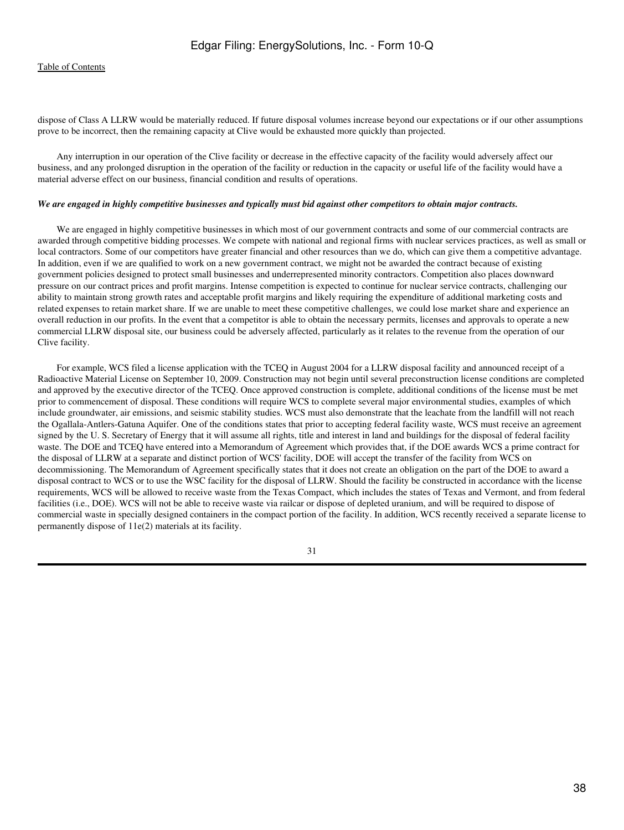dispose of Class A LLRW would be materially reduced. If future disposal volumes increase beyond our expectations or if our other assumptions prove to be incorrect, then the remaining capacity at Clive would be exhausted more quickly than projected.

 Any interruption in our operation of the Clive facility or decrease in the effective capacity of the facility would adversely affect our business, and any prolonged disruption in the operation of the facility or reduction in the capacity or useful life of the facility would have a material adverse effect on our business, financial condition and results of operations.

#### *We are engaged in highly competitive businesses and typically must bid against other competitors to obtain major contracts.*

 We are engaged in highly competitive businesses in which most of our government contracts and some of our commercial contracts are awarded through competitive bidding processes. We compete with national and regional firms with nuclear services practices, as well as small or local contractors. Some of our competitors have greater financial and other resources than we do, which can give them a competitive advantage. In addition, even if we are qualified to work on a new government contract, we might not be awarded the contract because of existing government policies designed to protect small businesses and underrepresented minority contractors. Competition also places downward pressure on our contract prices and profit margins. Intense competition is expected to continue for nuclear service contracts, challenging our ability to maintain strong growth rates and acceptable profit margins and likely requiring the expenditure of additional marketing costs and related expenses to retain market share. If we are unable to meet these competitive challenges, we could lose market share and experience an overall reduction in our profits. In the event that a competitor is able to obtain the necessary permits, licenses and approvals to operate a new commercial LLRW disposal site, our business could be adversely affected, particularly as it relates to the revenue from the operation of our Clive facility.

 For example, WCS filed a license application with the TCEQ in August 2004 for a LLRW disposal facility and announced receipt of a Radioactive Material License on September 10, 2009. Construction may not begin until several preconstruction license conditions are completed and approved by the executive director of the TCEQ. Once approved construction is complete, additional conditions of the license must be met prior to commencement of disposal. These conditions will require WCS to complete several major environmental studies, examples of which include groundwater, air emissions, and seismic stability studies. WCS must also demonstrate that the leachate from the landfill will not reach the Ogallala-Antlers-Gatuna Aquifer. One of the conditions states that prior to accepting federal facility waste, WCS must receive an agreement signed by the U. S. Secretary of Energy that it will assume all rights, title and interest in land and buildings for the disposal of federal facility waste. The DOE and TCEQ have entered into a Memorandum of Agreement which provides that, if the DOE awards WCS a prime contract for the disposal of LLRW at a separate and distinct portion of WCS' facility, DOE will accept the transfer of the facility from WCS on decommissioning. The Memorandum of Agreement specifically states that it does not create an obligation on the part of the DOE to award a disposal contract to WCS or to use the WSC facility for the disposal of LLRW. Should the facility be constructed in accordance with the license requirements, WCS will be allowed to receive waste from the Texas Compact, which includes the states of Texas and Vermont, and from federal facilities (i.e., DOE). WCS will not be able to receive waste via railcar or dispose of depleted uranium, and will be required to dispose of commercial waste in specially designed containers in the compact portion of the facility. In addition, WCS recently received a separate license to permanently dispose of 11e(2) materials at its facility.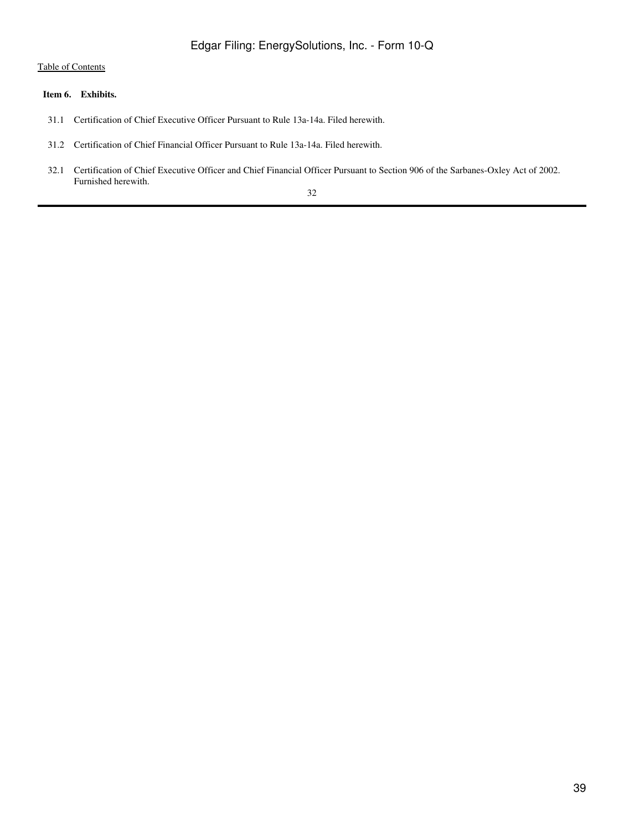## <span id="page-38-0"></span> **Item 6. Exhibits.**

- 31.1 Certification of Chief Executive Officer Pursuant to Rule 13a-14a. Filed herewith.
- 31.2 Certification of Chief Financial Officer Pursuant to Rule 13a-14a. Filed herewith.
- 32.1 Certification of Chief Executive Officer and Chief Financial Officer Pursuant to Section 906 of the Sarbanes-Oxley Act of 2002. Furnished herewith.